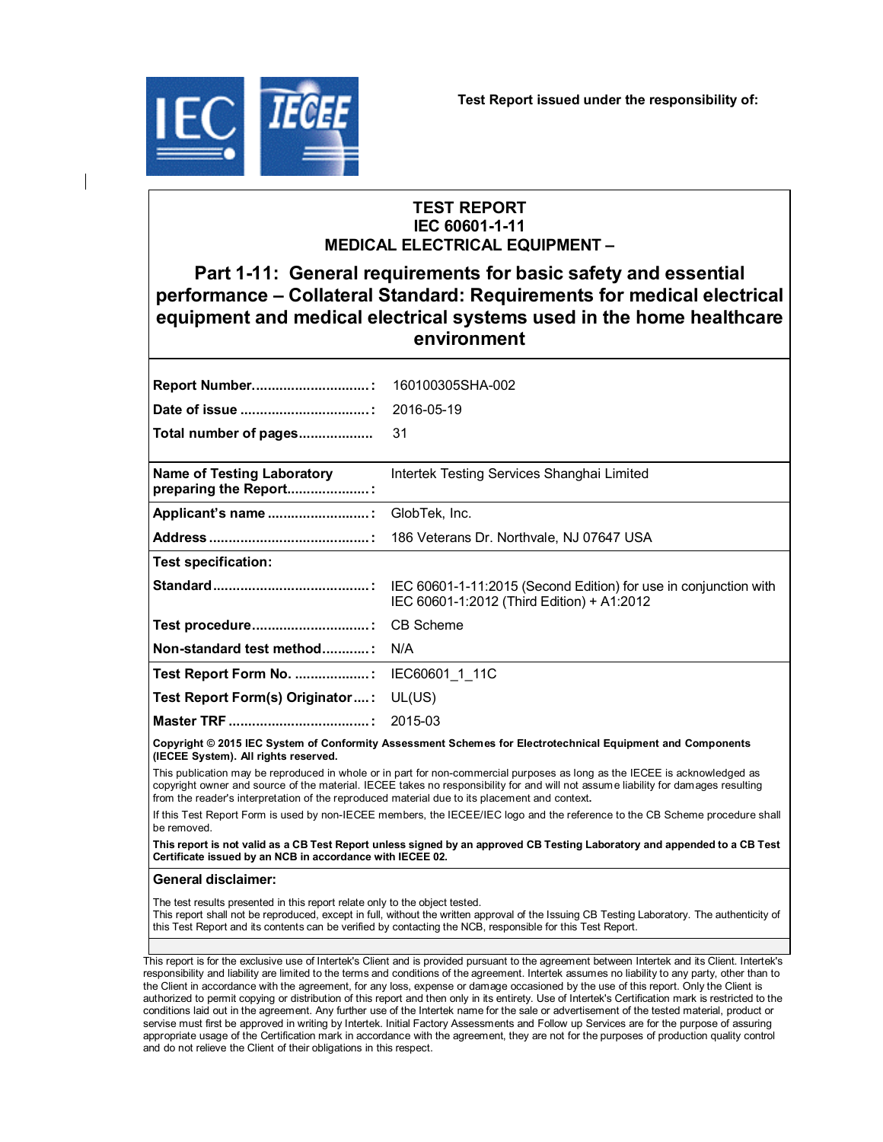

# **TEST REPORT IEC 60601-1-11 MEDICAL ELECTRICAL EQUIPMENT –**

# **Part 1-11: General requirements for basic safety and essential performance – Collateral Standard: Requirements for medical electrical equipment and medical electrical systems used in the home healthcare environment**

| <b>Report Number:</b>                                      | 160100305SHA-002                           |
|------------------------------------------------------------|--------------------------------------------|
|                                                            |                                            |
| Total number of pages                                      | 31                                         |
| <b>Name of Testing Laboratory</b><br>preparing the Report: | Intertek Testing Services Shanghai Limited |
|                                                            |                                            |
|                                                            |                                            |
| <b>Test specification:</b>                                 |                                            |
|                                                            | IEC 60601-1:2012 (Third Edition) + A1:2012 |
| Test procedure: CB Scheme                                  |                                            |
| Non-standard test method: N/A                              |                                            |
| Test Report Form No. : IEC60601 1 11C                      |                                            |
| Test Report Form(s) Originator: UL(US)                     |                                            |
|                                                            |                                            |
|                                                            |                                            |

**Copyright © 2015 IEC System of Conformity Assessment Schemes for Electrotechnical Equipment and Components (IECEE System). All rights reserved.**

This publication may be reproduced in whole or in part for non-commercial purposes as long as the IECEE is acknowledged as copyright owner and source of the material. IECEE takes no responsibility for and will not assume liability for damages resulting from the reader's interpretation of the reproduced material due to its placement and context**.**

If this Test Report Form is used by non-IECEE members, the IECEE/IEC logo and the reference to the CB Scheme procedure shall be removed.

**This report is not valid as a CB Test Report unless signed by an approved CB Testing Laboratory and appended to a CB Test Certificate issued by an NCB in accordance with IECEE 02.**

#### **General disclaimer:**

The test results presented in this report relate only to the object tested.

This report shall not be reproduced, except in full, without the written approval of the Issuing CB Testing Laboratory. The authenticity of this Test Report and its contents can be verified by contacting the NCB, responsible for this Test Report.

This report is for the exclusive use of Intertek's Client and is provided pursuant to the agreement between Intertek and its Client. Intertek's responsibility and liability are limited to the terms and conditions of the agreement. Intertek assumes no liability to any party, other than to the Client in accordance with the agreement, for any loss, expense or damage occasioned by the use of this report. Only the Client is authorized to permit copying or distribution of this report and then only in its entirety. Use of Intertek's Certification mark is restricted to the conditions laid out in the agreement. Any further use of the Intertek name for the sale or advertisement of the tested material, product or servise must first be approved in writing by Intertek. Initial Factory Assessments and Follow up Services are for the purpose of assuring appropriate usage of the Certification mark in accordance with the agreement, they are not for the purposes of production quality control and do not relieve the Client of their obligations in this respect.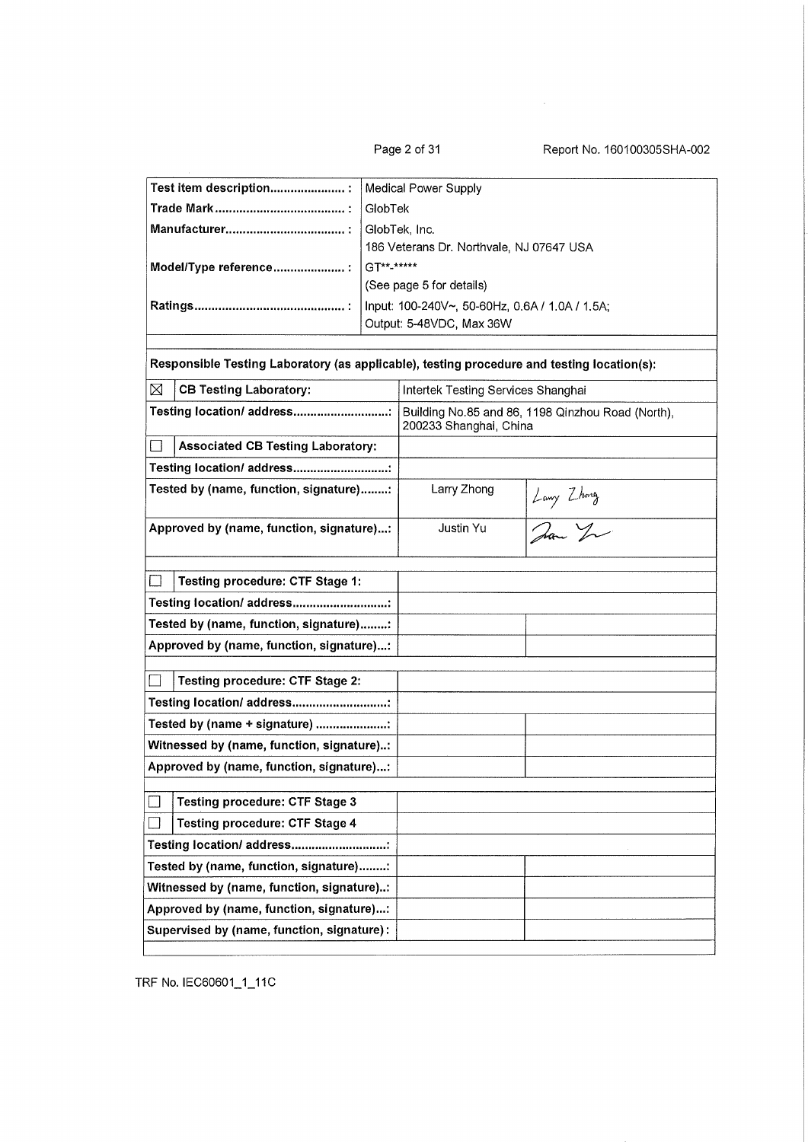Page 2 of 31

Report No. 160100305SHA-002

| Test item description :                                                                    |               | <b>Medical Power Supply</b>                    |                                                   |
|--------------------------------------------------------------------------------------------|---------------|------------------------------------------------|---------------------------------------------------|
|                                                                                            | GlobTek       |                                                |                                                   |
|                                                                                            | GlobTek, Inc. |                                                |                                                   |
|                                                                                            |               | 186 Veterans Dr. Northvale, NJ 07647 USA       |                                                   |
| Model/Type reference :                                                                     | GT**-*****    |                                                |                                                   |
|                                                                                            |               | (See page 5 for details)                       |                                                   |
|                                                                                            |               | Input: 100-240V~, 50-60Hz, 0.6A / 1.0A / 1.5A; |                                                   |
|                                                                                            |               | Output: 5-48VDC, Max 36W                       |                                                   |
|                                                                                            |               |                                                |                                                   |
| Responsible Testing Laboratory (as applicable), testing procedure and testing location(s): |               |                                                |                                                   |
| ⊠<br><b>CB Testing Laboratory:</b>                                                         |               | Intertek Testing Services Shanghai             |                                                   |
| Testing location/ address                                                                  |               | 200233 Shanghai, China                         | Building No.85 and 86, 1198 Qinzhou Road (North), |
| <b>Associated CB Testing Laboratory:</b>                                                   |               |                                                |                                                   |
| Testing location/ address                                                                  |               |                                                |                                                   |
| Tested by (name, function, signature):                                                     |               | Larry Zhong                                    |                                                   |
|                                                                                            |               |                                                |                                                   |
| Approved by (name, function, signature):                                                   |               | Justin Yu                                      | Long Zhong<br>Dan You                             |
|                                                                                            |               |                                                |                                                   |
| Testing procedure: CTF Stage 1:                                                            |               |                                                |                                                   |
| Testing location/ address:                                                                 |               |                                                |                                                   |
| Tested by (name, function, signature):                                                     |               |                                                |                                                   |
| Approved by (name, function, signature):                                                   |               |                                                |                                                   |
|                                                                                            |               |                                                |                                                   |
| <b>Testing procedure: CTF Stage 2:</b>                                                     |               |                                                |                                                   |
| Testing location/ address:                                                                 |               |                                                |                                                   |
| Tested by (name + signature) :                                                             |               |                                                |                                                   |
| Witnessed by (name, function, signature):                                                  |               |                                                |                                                   |
| Approved by (name, function, signature):                                                   |               |                                                |                                                   |
| <b>Testing procedure: CTF Stage 3</b>                                                      |               |                                                |                                                   |
| <b>Testing procedure: CTF Stage 4</b>                                                      |               |                                                |                                                   |
|                                                                                            |               |                                                |                                                   |
| Testing location/ address                                                                  |               |                                                |                                                   |
| Tested by (name, function, signature):                                                     |               |                                                |                                                   |
| Witnessed by (name, function, signature):                                                  |               |                                                |                                                   |
| Approved by (name, function, signature):                                                   |               |                                                |                                                   |
| Supervised by (name, function, signature):                                                 |               |                                                |                                                   |
|                                                                                            |               |                                                |                                                   |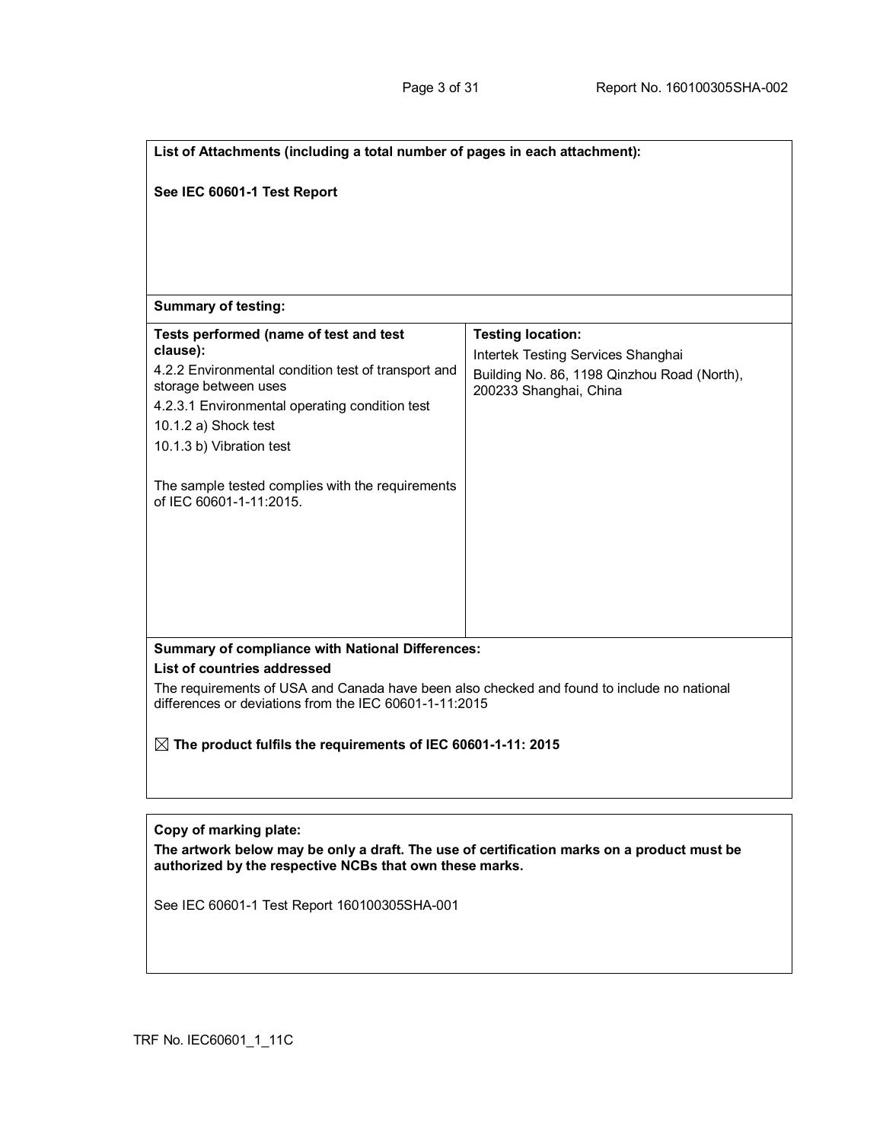| List of Attachments (including a total number of pages in each attachment):                                                                                                                                                                                     |                                                                                                                                         |  |  |
|-----------------------------------------------------------------------------------------------------------------------------------------------------------------------------------------------------------------------------------------------------------------|-----------------------------------------------------------------------------------------------------------------------------------------|--|--|
| See IEC 60601-1 Test Report                                                                                                                                                                                                                                     |                                                                                                                                         |  |  |
|                                                                                                                                                                                                                                                                 |                                                                                                                                         |  |  |
|                                                                                                                                                                                                                                                                 |                                                                                                                                         |  |  |
| <b>Summary of testing:</b>                                                                                                                                                                                                                                      |                                                                                                                                         |  |  |
| Tests performed (name of test and test<br>clause):<br>4.2.2 Environmental condition test of transport and<br>storage between uses<br>4.2.3.1 Environmental operating condition test<br>10.1.2 a) Shock test<br>10.1.3 b) Vibration test                         | <b>Testing location:</b><br>Intertek Testing Services Shanghai<br>Building No. 86, 1198 Qinzhou Road (North),<br>200233 Shanghai, China |  |  |
| The sample tested complies with the requirements<br>of IEC 60601-1-11:2015.                                                                                                                                                                                     |                                                                                                                                         |  |  |
| <b>Summary of compliance with National Differences:</b>                                                                                                                                                                                                         |                                                                                                                                         |  |  |
| List of countries addressed<br>The requirements of USA and Canada have been also checked and found to include no national<br>differences or deviations from the IEC 60601-1-11:2015<br>$\boxtimes$ The product fulfils the requirements of IEC 60601-1-11: 2015 |                                                                                                                                         |  |  |
|                                                                                                                                                                                                                                                                 |                                                                                                                                         |  |  |
| Copy of marking plate:<br>The artwork below may be only a draft. The use of certification marks on a product must be<br>authorized by the respective NCBs that own these marks.                                                                                 |                                                                                                                                         |  |  |
| See IEC 60601-1 Test Report 160100305SHA-001                                                                                                                                                                                                                    |                                                                                                                                         |  |  |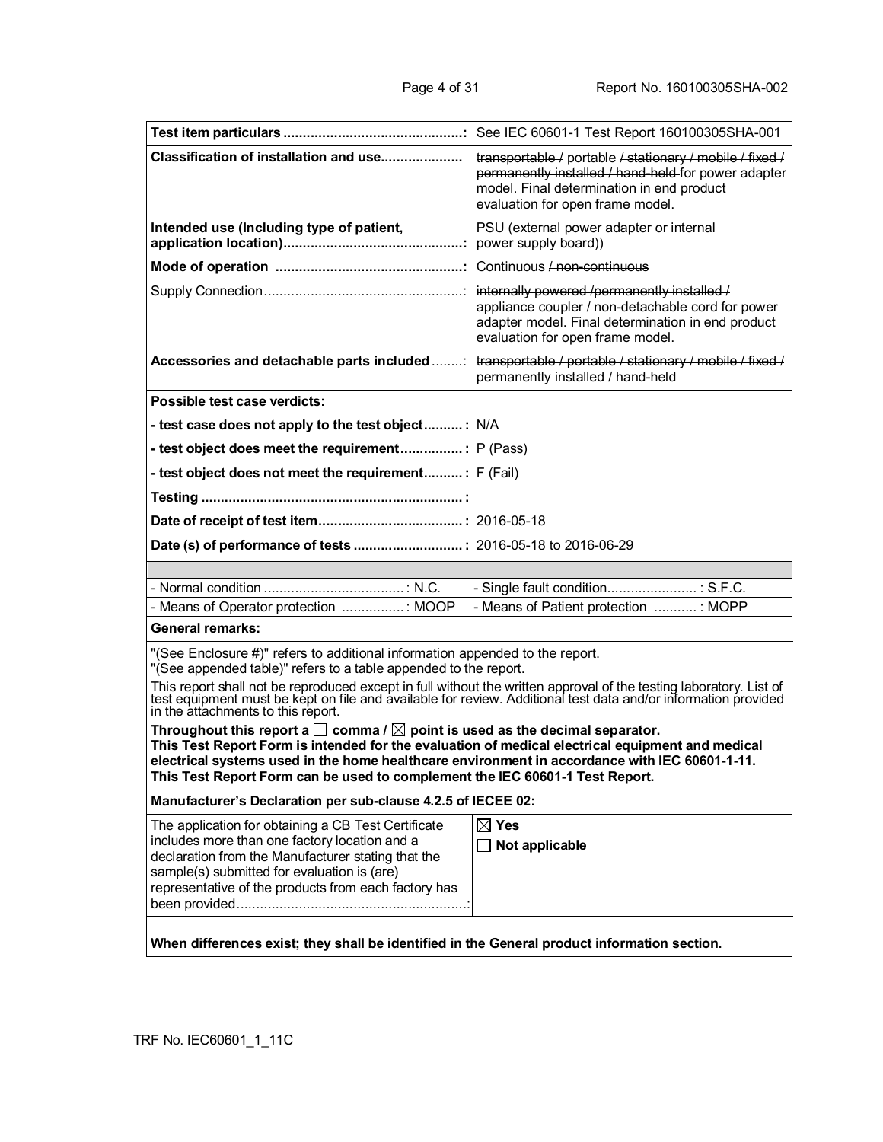| Classification of installation and use                                                                                                                                                                                                                                                                                                                                                                                                                                                                                                                                                                              | transportable / portable / stationary / mobile / fixed /<br>permanently installed / hand-held for power adapter<br>model. Final determination in end product<br>evaluation for open frame model. |
|---------------------------------------------------------------------------------------------------------------------------------------------------------------------------------------------------------------------------------------------------------------------------------------------------------------------------------------------------------------------------------------------------------------------------------------------------------------------------------------------------------------------------------------------------------------------------------------------------------------------|--------------------------------------------------------------------------------------------------------------------------------------------------------------------------------------------------|
| Intended use (Including type of patient,                                                                                                                                                                                                                                                                                                                                                                                                                                                                                                                                                                            | PSU (external power adapter or internal                                                                                                                                                          |
|                                                                                                                                                                                                                                                                                                                                                                                                                                                                                                                                                                                                                     |                                                                                                                                                                                                  |
|                                                                                                                                                                                                                                                                                                                                                                                                                                                                                                                                                                                                                     | appliance coupler / non-detachable cord for power<br>adapter model. Final determination in end product<br>evaluation for open frame model.                                                       |
| Accessories and detachable parts included : transportable / portable / stationary / mobile / fixed /                                                                                                                                                                                                                                                                                                                                                                                                                                                                                                                | permanently installed / hand-held                                                                                                                                                                |
| Possible test case verdicts:                                                                                                                                                                                                                                                                                                                                                                                                                                                                                                                                                                                        |                                                                                                                                                                                                  |
| - test case does not apply to the test object: N/A                                                                                                                                                                                                                                                                                                                                                                                                                                                                                                                                                                  |                                                                                                                                                                                                  |
| - test object does meet the requirement P (Pass)                                                                                                                                                                                                                                                                                                                                                                                                                                                                                                                                                                    |                                                                                                                                                                                                  |
| - test object does not meet the requirement: F (Fail)                                                                                                                                                                                                                                                                                                                                                                                                                                                                                                                                                               |                                                                                                                                                                                                  |
|                                                                                                                                                                                                                                                                                                                                                                                                                                                                                                                                                                                                                     |                                                                                                                                                                                                  |
|                                                                                                                                                                                                                                                                                                                                                                                                                                                                                                                                                                                                                     |                                                                                                                                                                                                  |
|                                                                                                                                                                                                                                                                                                                                                                                                                                                                                                                                                                                                                     |                                                                                                                                                                                                  |
|                                                                                                                                                                                                                                                                                                                                                                                                                                                                                                                                                                                                                     |                                                                                                                                                                                                  |
|                                                                                                                                                                                                                                                                                                                                                                                                                                                                                                                                                                                                                     | - Single fault condition : S.F.C.                                                                                                                                                                |
| - Means of Operator protection : MOOP                                                                                                                                                                                                                                                                                                                                                                                                                                                                                                                                                                               |                                                                                                                                                                                                  |
|                                                                                                                                                                                                                                                                                                                                                                                                                                                                                                                                                                                                                     | - Means of Patient protection  : MOPP                                                                                                                                                            |
| General remarks:                                                                                                                                                                                                                                                                                                                                                                                                                                                                                                                                                                                                    |                                                                                                                                                                                                  |
| "(See Enclosure #)" refers to additional information appended to the report.<br>"(See appended table)" refers to a table appended to the report.                                                                                                                                                                                                                                                                                                                                                                                                                                                                    |                                                                                                                                                                                                  |
|                                                                                                                                                                                                                                                                                                                                                                                                                                                                                                                                                                                                                     |                                                                                                                                                                                                  |
| This report shall not be reproduced except in full without the written approval of the testing laboratory. List of test equipment must be kept on file and available for review. Additional test data and/or information provi<br>Throughout this report a $\square$ comma / $\square$ point is used as the decimal separator.<br>This Test Report Form is intended for the evaluation of medical electrical equipment and medical<br>electrical systems used in the home healthcare environment in accordance with IEC 60601-1-11.<br>This Test Report Form can be used to complement the IEC 60601-1 Test Report. |                                                                                                                                                                                                  |
| Manufacturer's Declaration per sub-clause 4.2.5 of IECEE 02:                                                                                                                                                                                                                                                                                                                                                                                                                                                                                                                                                        |                                                                                                                                                                                                  |
| The application for obtaining a CB Test Certificate<br>includes more than one factory location and a<br>declaration from the Manufacturer stating that the<br>sample(s) submitted for evaluation is (are)<br>representative of the products from each factory has                                                                                                                                                                                                                                                                                                                                                   | $\boxtimes$ Yes<br>$\Box$ Not applicable                                                                                                                                                         |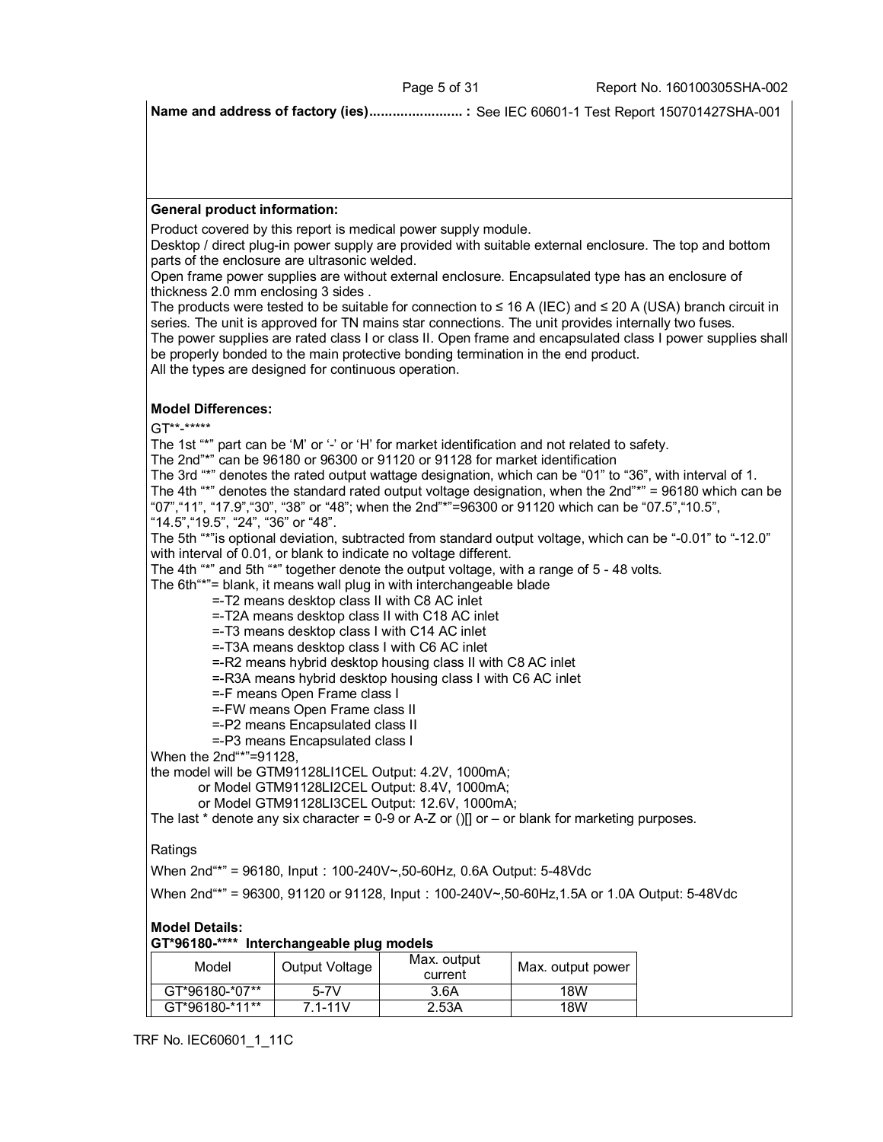**Name and address of factory (ies)........................ :** See IEC 60601-1 Test Report 150701427SHA-001

#### **General product information:**

Product covered by this report is medical power supply module.

Desktop / direct plug-in power supply are provided with suitable external enclosure. The top and bottom parts of the enclosure are ultrasonic welded.

Open frame power supplies are without external enclosure. Encapsulated type has an enclosure of thickness 2.0 mm enclosing 3 sides .

The products were tested to be suitable for connection to ≤ 16 A (IEC) and ≤ 20 A (USA) branch circuit in series. The unit is approved for TN mains star connections. The unit provides internally two fuses. The power supplies are rated class I or class II. Open frame and encapsulated class I power supplies shall

be properly bonded to the main protective bonding termination in the end product.

All the types are designed for continuous operation.

## **Model Differences:**

GT\*\*-\*\*\*\*\*

The 1st "\*" part can be 'M' or '-' or 'H' for market identification and not related to safety.

The 2nd"\*" can be 96180 or 96300 or 91120 or 91128 for market identification

The 3rd "\*" denotes the rated output wattage designation, which can be "01" to "36", with interval of 1. The 4th "\*" denotes the standard rated output voltage designation, when the 2nd"\*" = 96180 which can be "07","11", "17.9","30", "38" or "48"; when the 2nd"\*"=96300 or 91120 which can be "07.5","10.5", "14.5","19.5", "24", "36" or "48".

The 5th "\*"is optional deviation, subtracted from standard output voltage, which can be "-0.01" to "-12.0" with interval of 0.01, or blank to indicate no voltage different.

The 4th "\*" and 5th "\*" together denote the output voltage, with a range of 5 - 48 volts.

The 6th"\*"= blank, it means wall plug in with interchangeable blade

=-T2 means desktop class II with C8 AC inlet

=-T2A means desktop class II with C18 AC inlet

=-T3 means desktop class I with C14 AC inlet

=-T3A means desktop class I with C6 AC inlet

=-R2 means hybrid desktop housing class II with C8 AC inlet

=-R3A means hybrid desktop housing class I with C6 AC inlet

=-F means Open Frame class I

=-FW means Open Frame class II

=-P2 means Encapsulated class II

=-P3 means Encapsulated class I

When the 2nd"\*"=91128,

the model will be GTM91128LI1CEL Output: 4.2V, 1000mA;

or Model GTM91128LI2CEL Output: 8.4V, 1000mA;

or Model GTM91128LI3CEL Output: 12.6V, 1000mA;

The last  $*$  denote any six character = 0-9 or A-Z or ()[] or – or blank for marketing purposes.

## Ratings

When  $2nd^{**}$  = 96180, Input: 100-240V~,50-60Hz, 0.6A Output: 5-48Vdc

When 2nd<sup>"\*"</sup> = 96300, 91120 or 91128, Input: 100-240V~,50-60Hz,1.5A or 1.0A Output: 5-48Vdc

## **Model Details:**

**GT\*96180-\*\*\*\* Interchangeable plug models**

| Model          | Output Voltage | Max. output<br>current | Max. output power |
|----------------|----------------|------------------------|-------------------|
| GT*96180-*07** | $5-7V$         | 3.6A                   | 18W               |
| GT*96180-*11** | 7 1-11V        | 2.53A                  | 18W               |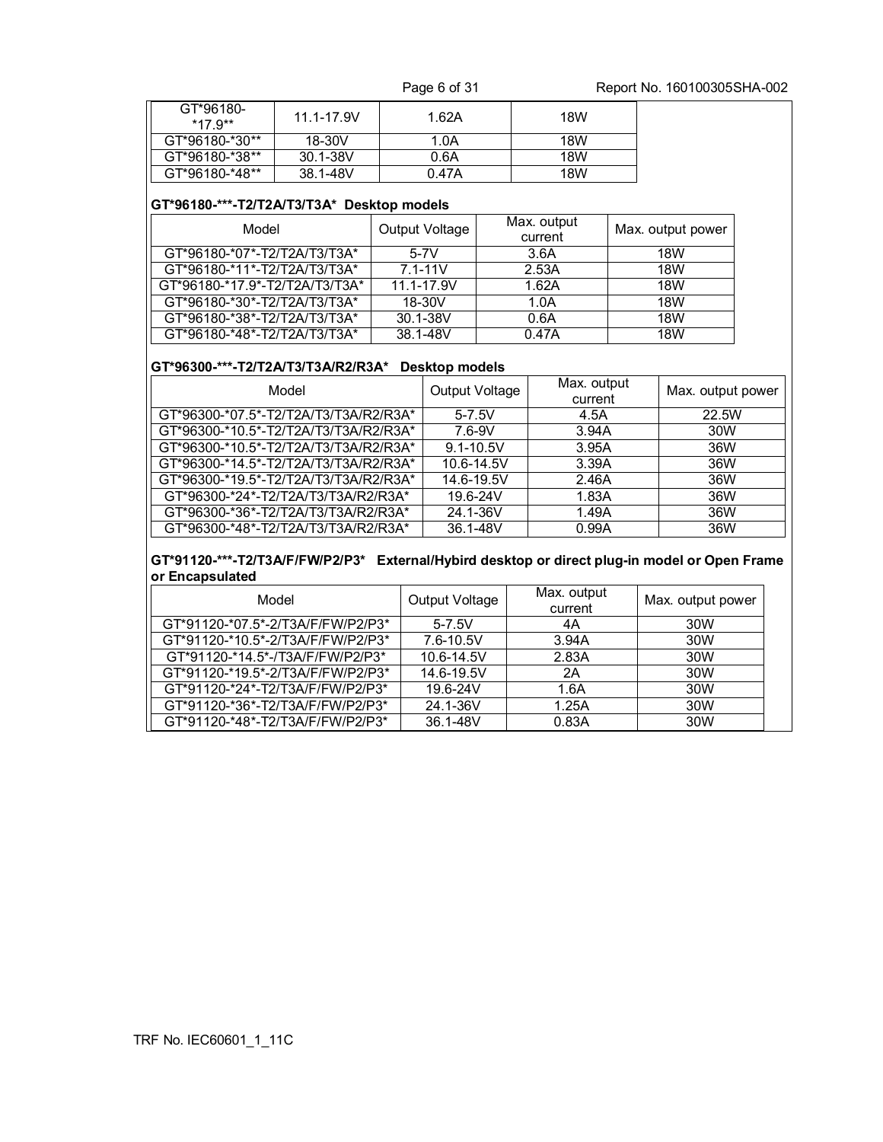Page 6 of 31 Report No. 160100305SHA-002

| GT*96180-<br>$*17.9**$ | $11.1 - 17.9V$ | 1.62A | 18W |
|------------------------|----------------|-------|-----|
| GT*96180-*30**         | 18-30V         | 1.0A  | 18W |
| GT*96180-*38**         | 30.1-38V       | 0.6A  | 18W |
| GT*96180-*48**         | 38.1-48V       | 0.47A | 18W |

## **GT\*96180-\*\*\*-T2/T2A/T3/T3A\* Desktop models**

| Model                          | Output Voltage | Max. output<br>current | Max. output power |
|--------------------------------|----------------|------------------------|-------------------|
| GT*96180-*07*-T2/T2A/T3/T3A*   | $5-7V$         | 3.6A                   | 18W               |
| GT*96180-*11*-T2/T2A/T3/T3A*   | $7.1 - 11V$    | 2.53A                  | <b>18W</b>        |
| GT*96180-*17.9*-T2/T2A/T3/T3A* | 11.1-17.9V     | 1.62A                  | <b>18W</b>        |
| GT*96180-*30*-T2/T2A/T3/T3A*   | 18-30V         | 1.0A                   | <b>18W</b>        |
| GT*96180-*38*-T2/T2A/T3/T3A*   | 30.1-38V       | 0.6A                   | 18W               |
| GT*96180-*48*-T2/T2A/T3/T3A*   | 38.1-48V       | 0.47A                  | 18W               |

# **GT\*96300-\*\*\*-T2/T2A/T3/T3A/R2/R3A\* Desktop models**

| Model                                 | Output Voltage | Max. output<br>current | Max. output power |
|---------------------------------------|----------------|------------------------|-------------------|
| GT*96300-*07.5*-T2/T2A/T3/T3A/R2/R3A* | $5 - 7.5V$     | 4.5A                   | 22.5W             |
| GT*96300-*10.5*-T2/T2A/T3/T3A/R2/R3A* | $7.6 - 9V$     | 3.94A                  | 30W               |
| GT*96300-*10.5*-T2/T2A/T3/T3A/R2/R3A* | $9.1 - 10.5V$  | 3.95A                  | 36W               |
| GT*96300-*14.5*-T2/T2A/T3/T3A/R2/R3A* | 10.6-14.5V     | 3.39A                  | 36W               |
| GT*96300-*19.5*-T2/T2A/T3/T3A/R2/R3A* | 14.6-19.5V     | 2.46A                  | 36W               |
| GT*96300-*24*-T2/T2A/T3/T3A/R2/R3A*   | 19.6-24V       | 1.83A                  | 36W               |
| GT*96300-*36*-T2/T2A/T3/T3A/R2/R3A*   | 24.1-36V       | 1.49A                  | 36W               |
| GT*96300-*48*-T2/T2A/T3/T3A/R2/R3A*   | 36.1-48V       | 0.99A                  | 36W               |

#### **GT\*91120-\*\*\*-T2/T3A/F/FW/P2/P3\* External/Hybird desktop or direct plug-in model or Open Frame or Encapsulated**

| Model                             | Output Voltage | Max. output<br>current | Max. output power |
|-----------------------------------|----------------|------------------------|-------------------|
| GT*91120-*07.5*-2/T3A/F/FW/P2/P3* | $5 - 7.5V$     | 4A                     | 30W               |
| GT*91120-*10.5*-2/T3A/F/FW/P2/P3* | 7.6-10.5V      | 3.94A                  | 30W               |
| GT*91120-*14.5*-/T3A/F/FW/P2/P3*  | 10.6-14.5V     | 2.83A                  | 30W               |
| GT*91120-*19.5*-2/T3A/F/FW/P2/P3* | 14.6-19.5V     | 2A                     | 30W               |
| GT*91120-*24*-T2/T3A/F/FW/P2/P3*  | 19.6-24V       | 1.6A                   | 30W               |
| GT*91120-*36*-T2/T3A/F/FW/P2/P3*  | 24.1-36V       | 1.25A                  | 30W               |
| GT*91120-*48*-T2/T3A/F/FW/P2/P3*  | 36.1-48V       | 0.83A                  | 30W               |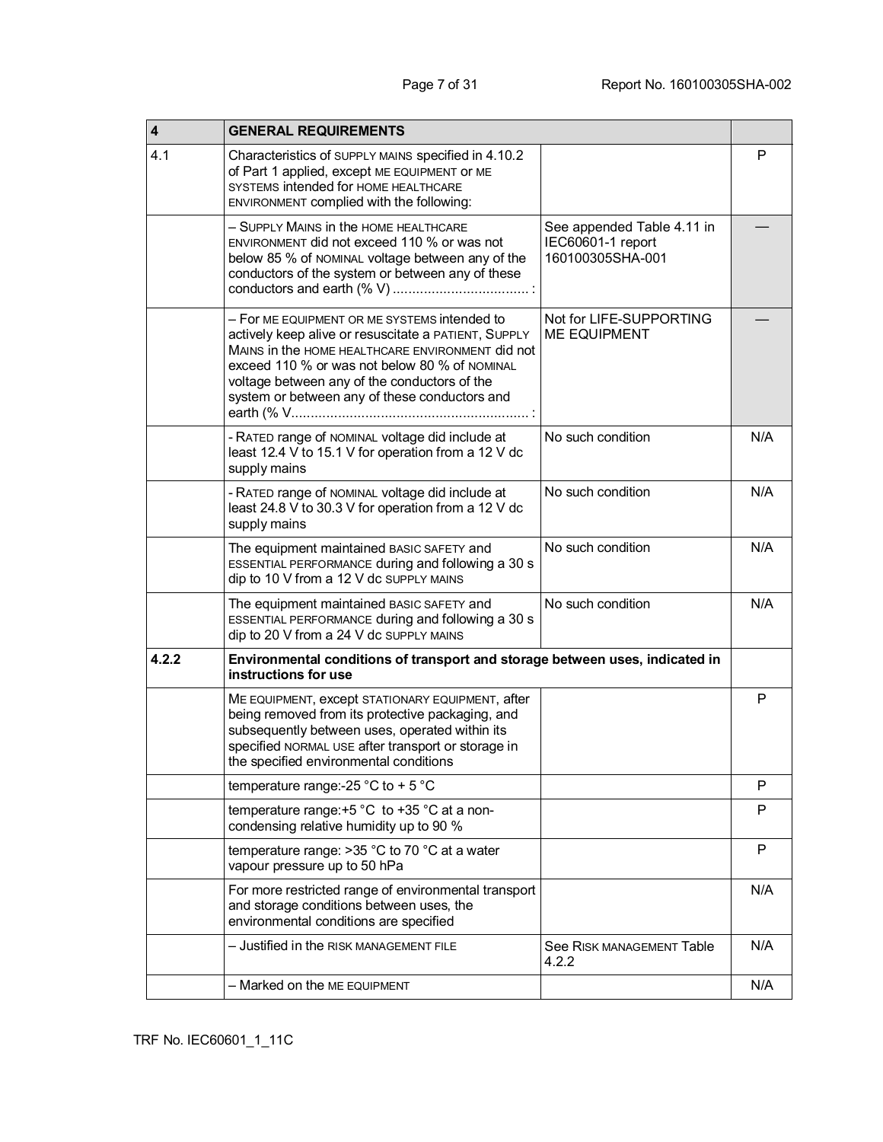| $\overline{\mathbf{4}}$ | <b>GENERAL REQUIREMENTS</b>                                                                                                                                                                                                                                                                                |                                                                     |     |
|-------------------------|------------------------------------------------------------------------------------------------------------------------------------------------------------------------------------------------------------------------------------------------------------------------------------------------------------|---------------------------------------------------------------------|-----|
| 4.1                     | Characteristics of SUPPLY MAINS specified in 4.10.2<br>of Part 1 applied, except ME EQUIPMENT OF ME<br>SYSTEMS intended for HOME HEALTHCARE<br>ENVIRONMENT complied with the following:                                                                                                                    |                                                                     | P   |
|                         | - SUPPLY MAINS in the HOME HEALTHCARE<br>ENVIRONMENT did not exceed 110 % or was not<br>below 85 % of NOMINAL voltage between any of the<br>conductors of the system or between any of these                                                                                                               | See appended Table 4.11 in<br>IEC60601-1 report<br>160100305SHA-001 |     |
|                         | - For ME EQUIPMENT OR ME SYSTEMS intended to<br>actively keep alive or resuscitate a PATIENT, SUPPLY<br>MAINS in the HOME HEALTHCARE ENVIRONMENT did not<br>exceed 110 % or was not below 80 % of NOMINAL<br>voltage between any of the conductors of the<br>system or between any of these conductors and | Not for LIFE-SUPPORTING<br><b>ME EQUIPMENT</b>                      |     |
|                         | - RATED range of NOMINAL voltage did include at<br>least 12.4 V to 15.1 V for operation from a 12 V dc<br>supply mains                                                                                                                                                                                     | No such condition                                                   | N/A |
|                         | - RATED range of NOMINAL voltage did include at<br>least 24.8 V to 30.3 V for operation from a 12 V dc<br>supply mains                                                                                                                                                                                     | No such condition                                                   | N/A |
|                         | The equipment maintained BASIC SAFETY and<br>ESSENTIAL PERFORMANCE during and following a 30 s<br>dip to 10 V from a 12 V dc SUPPLY MAINS                                                                                                                                                                  | No such condition                                                   | N/A |
|                         | The equipment maintained BASIC SAFETY and<br>ESSENTIAL PERFORMANCE during and following a 30 s<br>dip to 20 V from a 24 V dc SUPPLY MAINS                                                                                                                                                                  | No such condition                                                   | N/A |
| 4.2.2                   | Environmental conditions of transport and storage between uses, indicated in<br>instructions for use                                                                                                                                                                                                       |                                                                     |     |
|                         | ME EQUIPMENT, except STATIONARY EQUIPMENT, after<br>being removed from its protective packaging, and<br>subsequently between uses, operated within its<br>specified NORMAL USE after transport or storage in<br>the specified environmental conditions                                                     |                                                                     | P   |
|                         | temperature range:-25 °C to + 5 °C                                                                                                                                                                                                                                                                         |                                                                     | P   |
|                         | temperature range: +5 °C to +35 °C at a non-<br>condensing relative humidity up to 90 %                                                                                                                                                                                                                    |                                                                     | P   |
|                         | temperature range: $>35$ °C to 70 °C at a water<br>vapour pressure up to 50 hPa                                                                                                                                                                                                                            |                                                                     | P   |
|                         | For more restricted range of environmental transport<br>and storage conditions between uses, the<br>environmental conditions are specified                                                                                                                                                                 |                                                                     | N/A |
|                         | - Justified in the RISK MANAGEMENT FILE                                                                                                                                                                                                                                                                    | See RISK MANAGEMENT Table<br>4.2.2                                  | N/A |
|                         | - Marked on the ME EQUIPMENT                                                                                                                                                                                                                                                                               |                                                                     | N/A |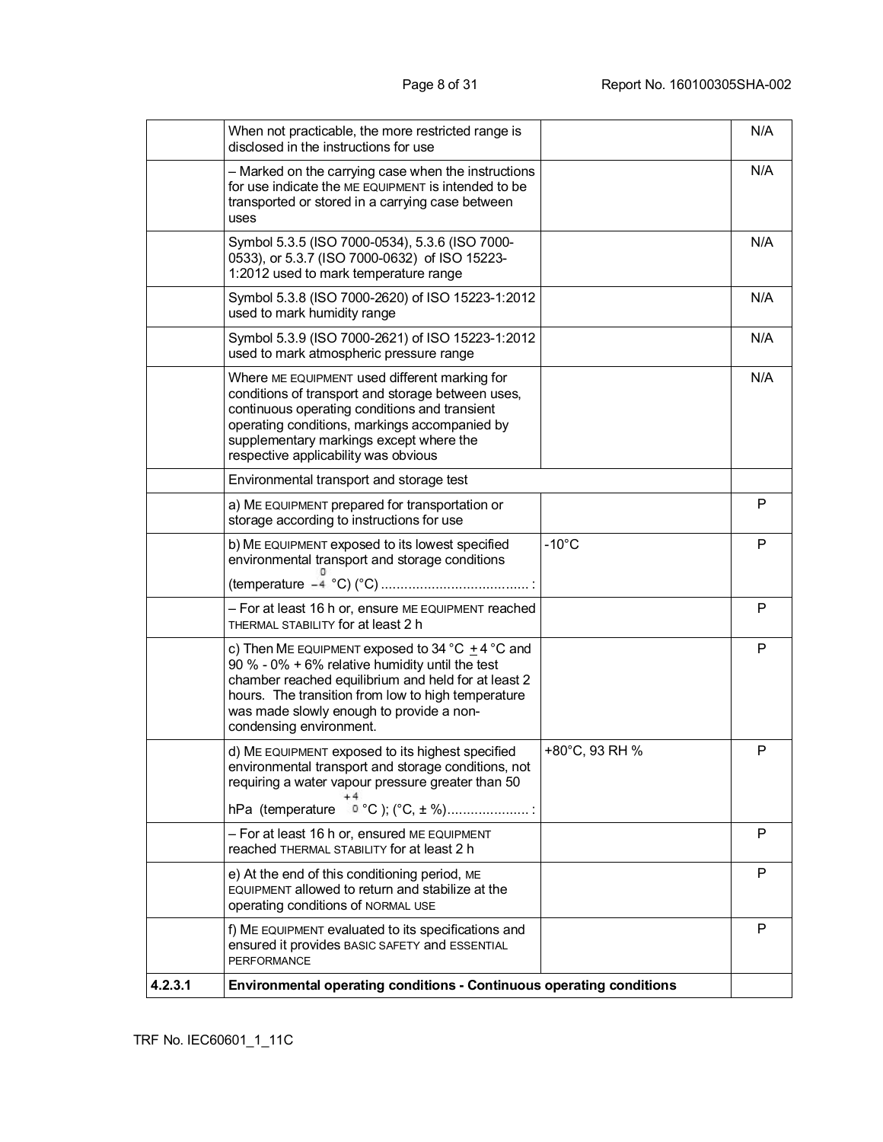| 4.2.3.1 | Environmental operating conditions - Continuous operating conditions                                                                                                                                                                                                                        |                 |     |
|---------|---------------------------------------------------------------------------------------------------------------------------------------------------------------------------------------------------------------------------------------------------------------------------------------------|-----------------|-----|
|         | f) ME EQUIPMENT evaluated to its specifications and<br>ensured it provides BASIC SAFETY and ESSENTIAL<br><b>PERFORMANCE</b>                                                                                                                                                                 |                 | P   |
|         | e) At the end of this conditioning period, ME<br>EQUIPMENT allowed to return and stabilize at the<br>operating conditions of NORMAL USE                                                                                                                                                     |                 | P   |
|         | - For at least 16 h or, ensured ME EQUIPMENT<br>reached THERMAL STABILITY for at least 2 h                                                                                                                                                                                                  |                 | P   |
|         |                                                                                                                                                                                                                                                                                             |                 |     |
|         | d) ME EQUIPMENT exposed to its highest specified<br>environmental transport and storage conditions, not<br>requiring a water vapour pressure greater than 50                                                                                                                                | +80°C, 93 RH %  | P   |
|         | c) Then ME EQUIPMENT exposed to 34 °C $\pm$ 4 °C and<br>90 % - 0% + 6% relative humidity until the test<br>chamber reached equilibrium and held for at least 2<br>hours. The transition from low to high temperature<br>was made slowly enough to provide a non-<br>condensing environment. |                 | P   |
|         | - For at least 16 h or, ensure ME EQUIPMENT reached<br>THERMAL STABILITY for at least 2 h                                                                                                                                                                                                   |                 | P   |
|         | b) ME EQUIPMENT exposed to its lowest specified<br>environmental transport and storage conditions                                                                                                                                                                                           | $-10^{\circ}$ C | P   |
|         | a) ME EQUIPMENT prepared for transportation or<br>storage according to instructions for use                                                                                                                                                                                                 |                 | P   |
|         | Environmental transport and storage test                                                                                                                                                                                                                                                    |                 |     |
|         | Where ME EQUIPMENT used different marking for<br>conditions of transport and storage between uses,<br>continuous operating conditions and transient<br>operating conditions, markings accompanied by<br>supplementary markings except where the<br>respective applicability was obvious     |                 | N/A |
|         | Symbol 5.3.9 (ISO 7000-2621) of ISO 15223-1:2012<br>used to mark atmospheric pressure range                                                                                                                                                                                                 |                 | N/A |
|         | Symbol 5.3.8 (ISO 7000-2620) of ISO 15223-1:2012<br>used to mark humidity range                                                                                                                                                                                                             |                 | N/A |
|         | Symbol 5.3.5 (ISO 7000-0534), 5.3.6 (ISO 7000-<br>0533), or 5.3.7 (ISO 7000-0632) of ISO 15223-<br>1:2012 used to mark temperature range                                                                                                                                                    |                 | N/A |
|         | - Marked on the carrying case when the instructions<br>for use indicate the ME EQUIPMENT is intended to be<br>transported or stored in a carrying case between<br>uses                                                                                                                      |                 | N/A |
|         | When not practicable, the more restricted range is<br>disclosed in the instructions for use                                                                                                                                                                                                 |                 | N/A |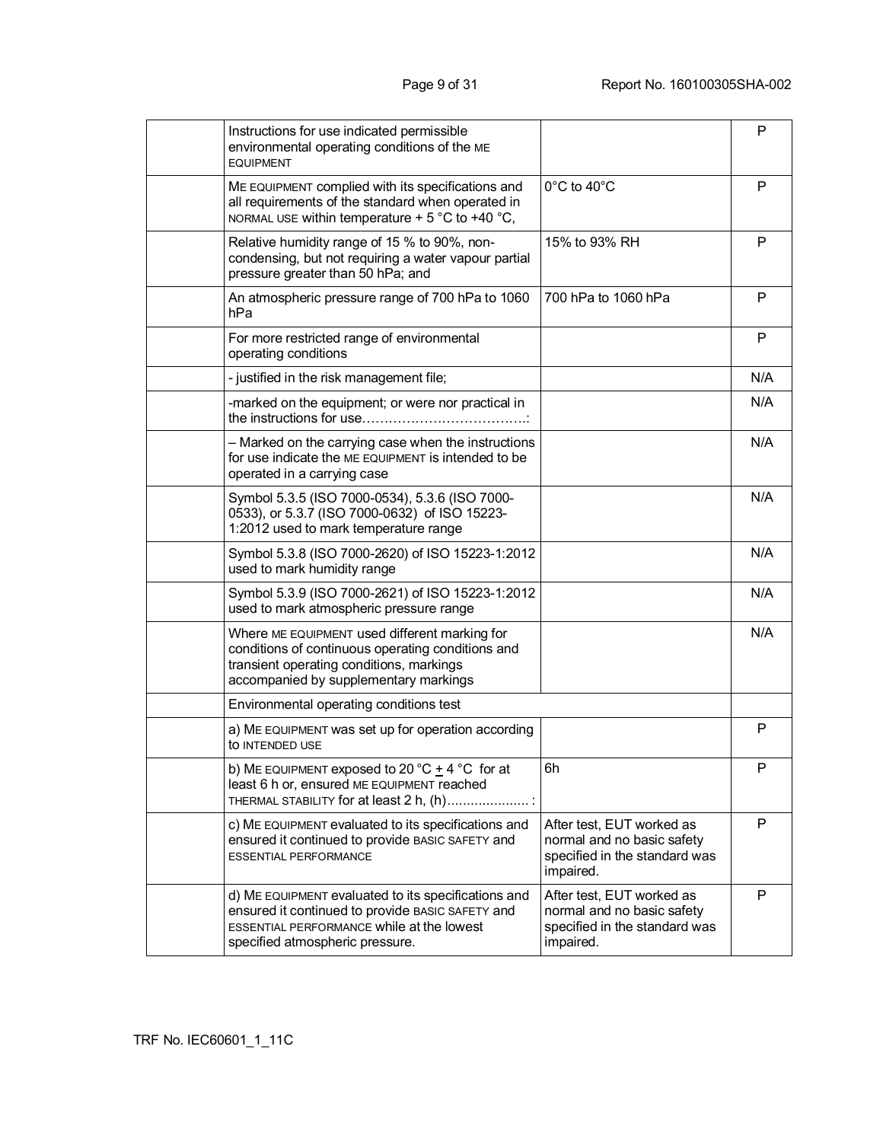| Instructions for use indicated permissible<br>environmental operating conditions of the ME<br><b>EQUIPMENT</b>                                                                                 |                                                                                                       | P   |
|------------------------------------------------------------------------------------------------------------------------------------------------------------------------------------------------|-------------------------------------------------------------------------------------------------------|-----|
| ME EQUIPMENT complied with its specifications and<br>all requirements of the standard when operated in<br>NORMAL USE within temperature + 5 °C to +40 °C,                                      | $0^{\circ}$ C to 40 $^{\circ}$ C                                                                      | P   |
| Relative humidity range of 15 % to 90%, non-<br>condensing, but not requiring a water vapour partial<br>pressure greater than 50 hPa; and                                                      | 15% to 93% RH                                                                                         | P   |
| An atmospheric pressure range of 700 hPa to 1060<br>hPa                                                                                                                                        | 700 hPa to 1060 hPa                                                                                   | P   |
| For more restricted range of environmental<br>operating conditions                                                                                                                             |                                                                                                       | P   |
| - justified in the risk management file;                                                                                                                                                       |                                                                                                       | N/A |
| -marked on the equipment; or were nor practical in                                                                                                                                             |                                                                                                       | N/A |
| - Marked on the carrying case when the instructions<br>for use indicate the ME EQUIPMENT is intended to be<br>operated in a carrying case                                                      |                                                                                                       | N/A |
| Symbol 5.3.5 (ISO 7000-0534), 5.3.6 (ISO 7000-<br>0533), or 5.3.7 (ISO 7000-0632) of ISO 15223-<br>1:2012 used to mark temperature range                                                       |                                                                                                       | N/A |
| Symbol 5.3.8 (ISO 7000-2620) of ISO 15223-1:2012<br>used to mark humidity range                                                                                                                |                                                                                                       | N/A |
| Symbol 5.3.9 (ISO 7000-2621) of ISO 15223-1:2012<br>used to mark atmospheric pressure range                                                                                                    |                                                                                                       | N/A |
| Where ME EQUIPMENT used different marking for<br>conditions of continuous operating conditions and<br>transient operating conditions, markings<br>accompanied by supplementary markings        |                                                                                                       | N/A |
| Environmental operating conditions test                                                                                                                                                        |                                                                                                       |     |
| a) ME EQUIPMENT was set up for operation according<br>to INTENDED USE                                                                                                                          |                                                                                                       | P   |
| b) ME EQUIPMENT exposed to 20 °C $\pm$ 4 °C for at<br>least 6 h or, ensured ME EQUIPMENT reached<br>THERMAL STABILITY for at least 2 h, (h)                                                    | 6h                                                                                                    | P   |
| c) ME EQUIPMENT evaluated to its specifications and<br>ensured it continued to provide BASIC SAFETY and<br><b>ESSENTIAL PERFORMANCE</b>                                                        | After test, EUT worked as<br>normal and no basic safety<br>specified in the standard was<br>impaired. | P   |
| d) ME EQUIPMENT evaluated to its specifications and<br>ensured it continued to provide BASIC SAFETY and<br><b>ESSENTIAL PERFORMANCE while at the lowest</b><br>specified atmospheric pressure. | After test, EUT worked as<br>normal and no basic safety<br>specified in the standard was<br>impaired. | P   |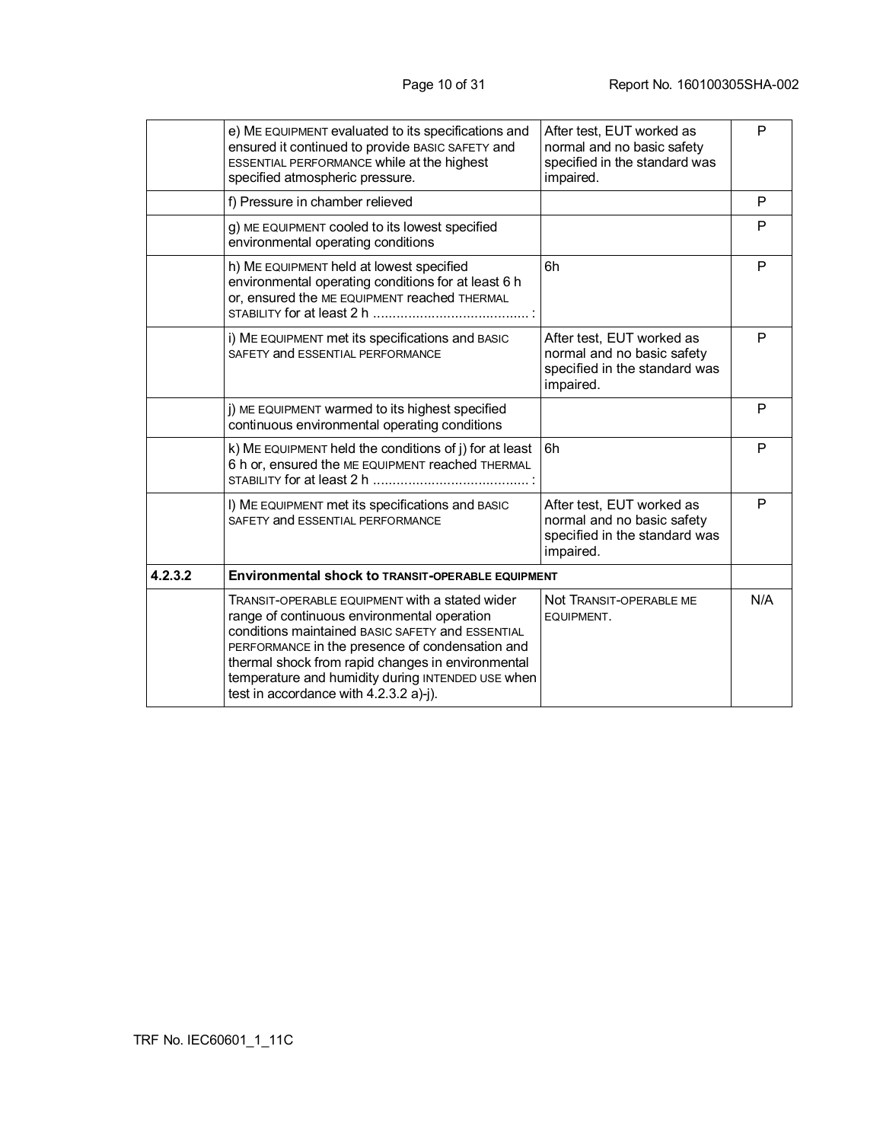|         | e) ME EQUIPMENT evaluated to its specifications and<br>ensured it continued to provide BASIC SAFETY and<br>ESSENTIAL PERFORMANCE while at the highest<br>specified atmospheric pressure.                                                                                                                                                                 | After test, EUT worked as<br>normal and no basic safety<br>specified in the standard was<br>impaired. | P   |
|---------|----------------------------------------------------------------------------------------------------------------------------------------------------------------------------------------------------------------------------------------------------------------------------------------------------------------------------------------------------------|-------------------------------------------------------------------------------------------------------|-----|
|         | f) Pressure in chamber relieved                                                                                                                                                                                                                                                                                                                          |                                                                                                       | P   |
|         | g) ME EQUIPMENT cooled to its lowest specified<br>environmental operating conditions                                                                                                                                                                                                                                                                     |                                                                                                       | P   |
|         | h) ME EQUIPMENT held at lowest specified<br>environmental operating conditions for at least 6 h<br>or, ensured the ME EQUIPMENT reached THERMAL                                                                                                                                                                                                          | 6h                                                                                                    | P   |
|         | i) ME EQUIPMENT met its specifications and BASIC<br>SAFETY and ESSENTIAL PERFORMANCE                                                                                                                                                                                                                                                                     | After test, EUT worked as<br>normal and no basic safety<br>specified in the standard was<br>impaired. | P   |
|         | j) ME EQUIPMENT warmed to its highest specified<br>continuous environmental operating conditions                                                                                                                                                                                                                                                         |                                                                                                       | P   |
|         | k) ME EQUIPMENT held the conditions of j) for at least<br>6 h or, ensured the ME EQUIPMENT reached THERMAL                                                                                                                                                                                                                                               | 6h                                                                                                    | P   |
|         | I) ME EQUIPMENT met its specifications and BASIC<br>SAFETY and ESSENTIAL PERFORMANCE                                                                                                                                                                                                                                                                     | After test, EUT worked as<br>normal and no basic safety<br>specified in the standard was<br>impaired. | P   |
| 4.2.3.2 | <b>Environmental shock to TRANSIT-OPERABLE EQUIPMENT</b>                                                                                                                                                                                                                                                                                                 |                                                                                                       |     |
|         | TRANSIT-OPERABLE EQUIPMENT with a stated wider<br>range of continuous environmental operation<br>conditions maintained BASIC SAFETY and ESSENTIAL<br>PERFORMANCE in the presence of condensation and<br>thermal shock from rapid changes in environmental<br>temperature and humidity during INTENDED USE when<br>test in accordance with 4.2.3.2 a)-j). | Not TRANSIT-OPERABLE ME<br>EQUIPMENT.                                                                 | N/A |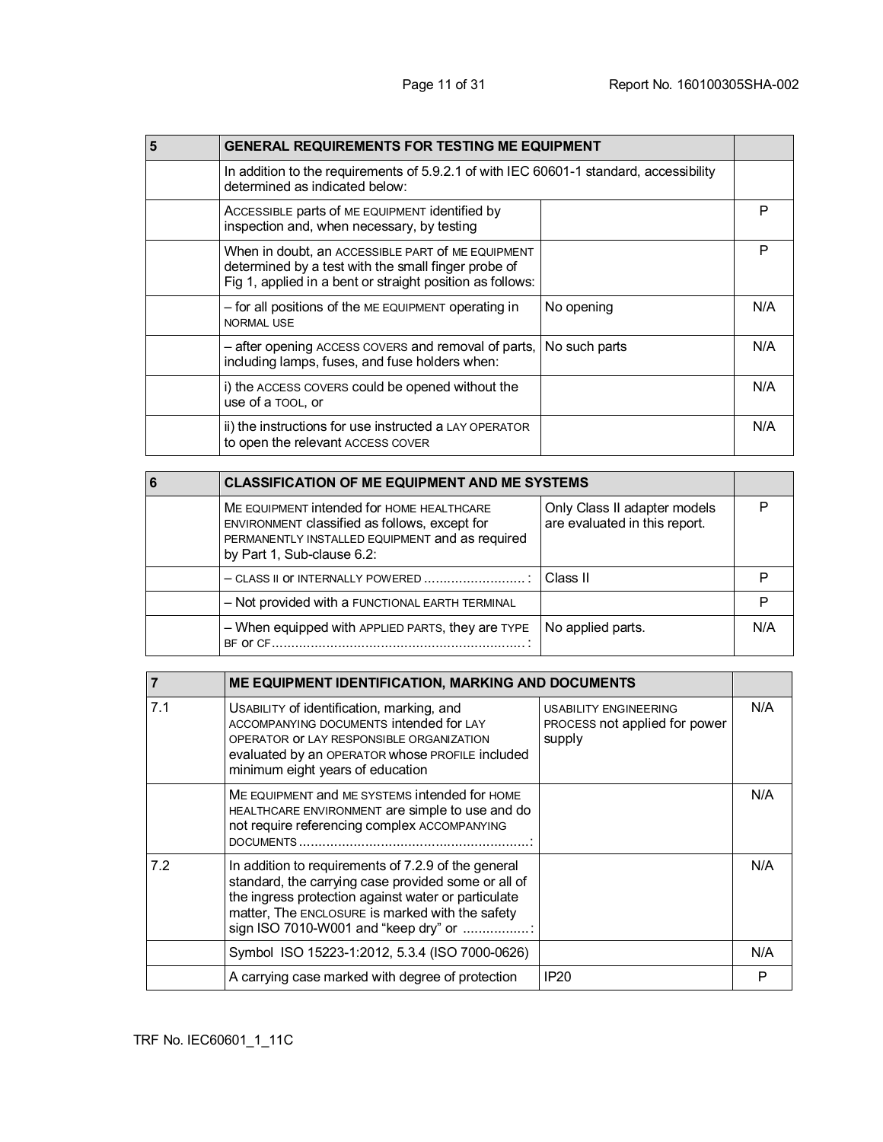| <b>GENERAL REQUIREMENTS FOR TESTING ME EQUIPMENT</b>                                                                                                                  |               |     |
|-----------------------------------------------------------------------------------------------------------------------------------------------------------------------|---------------|-----|
| In addition to the requirements of 5.9.2.1 of with IEC 60601-1 standard, accessibility<br>determined as indicated below:                                              |               |     |
| ACCESSIBLE parts of ME EQUIPMENT identified by<br>inspection and, when necessary, by testing                                                                          |               | P   |
| When in doubt, an ACCESSIBLE PART of ME EQUIPMENT<br>determined by a test with the small finger probe of<br>Fig 1, applied in a bent or straight position as follows: |               | P   |
| - for all positions of the ME EQUIPMENT operating in<br><b>NORMAL USE</b>                                                                                             | No opening    | N/A |
| - after opening ACCESS COVERS and removal of parts,<br>including lamps, fuses, and fuse holders when:                                                                 | No such parts | N/A |
| i) the ACCESS COVERS could be opened without the<br>use of a TOOL, or                                                                                                 |               | N/A |
| ii) the instructions for use instructed a LAY OPERATOR<br>to open the relevant ACCESS COVER                                                                           |               | N/A |

| <b>CLASSIFICATION OF ME EQUIPMENT AND ME SYSTEMS</b>                                                                                                                        |                                                               |     |
|-----------------------------------------------------------------------------------------------------------------------------------------------------------------------------|---------------------------------------------------------------|-----|
| ME EQUIPMENT intended for HOME HEALTHCARE<br>ENVIRONMENT classified as follows, except for<br>PERMANENTLY INSTALLED EQUIPMENT and as required<br>by Part 1, Sub-clause 6.2: | Only Class II adapter models<br>are evaluated in this report. |     |
| $-$ CLASS II OF INTERNALLY POWERED                                                                                                                                          | Class II                                                      |     |
| - Not provided with a FUNCTIONAL EARTH TERMINAL                                                                                                                             |                                                               |     |
| - When equipped with APPLIED PARTS, they are TYPE<br><b>BF OF CF</b>                                                                                                        | No applied parts.                                             | N/A |

|     | ME EQUIPMENT IDENTIFICATION, MARKING AND DOCUMENTS                                                                                                                                                                                                           |                                                                         |     |
|-----|--------------------------------------------------------------------------------------------------------------------------------------------------------------------------------------------------------------------------------------------------------------|-------------------------------------------------------------------------|-----|
| 7.1 | USABILITY of identification, marking, and<br>ACCOMPANYING DOCUMENTS intended for LAY<br>OPERATOR OF LAY RESPONSIBLE ORGANIZATION<br>evaluated by an OPERATOR whose PROFILE included<br>minimum eight years of education                                      | <b>USABILITY ENGINEERING</b><br>PROCESS not applied for power<br>supply | N/A |
|     | ME EQUIPMENT and ME SYSTEMS intended for HOME<br>HEALTHCARE ENVIRONMENT are simple to use and do<br>not require referencing complex ACCOMPANYING                                                                                                             |                                                                         | N/A |
| 7.2 | In addition to requirements of 7.2.9 of the general<br>standard, the carrying case provided some or all of<br>the ingress protection against water or particulate<br>matter, The ENCLOSURE is marked with the safety<br>sign ISO 7010-W001 and "keep dry" or |                                                                         | N/A |
|     | Symbol ISO 15223-1:2012, 5.3.4 (ISO 7000-0626)                                                                                                                                                                                                               |                                                                         | N/A |
|     | A carrying case marked with degree of protection                                                                                                                                                                                                             | <b>IP20</b>                                                             | P   |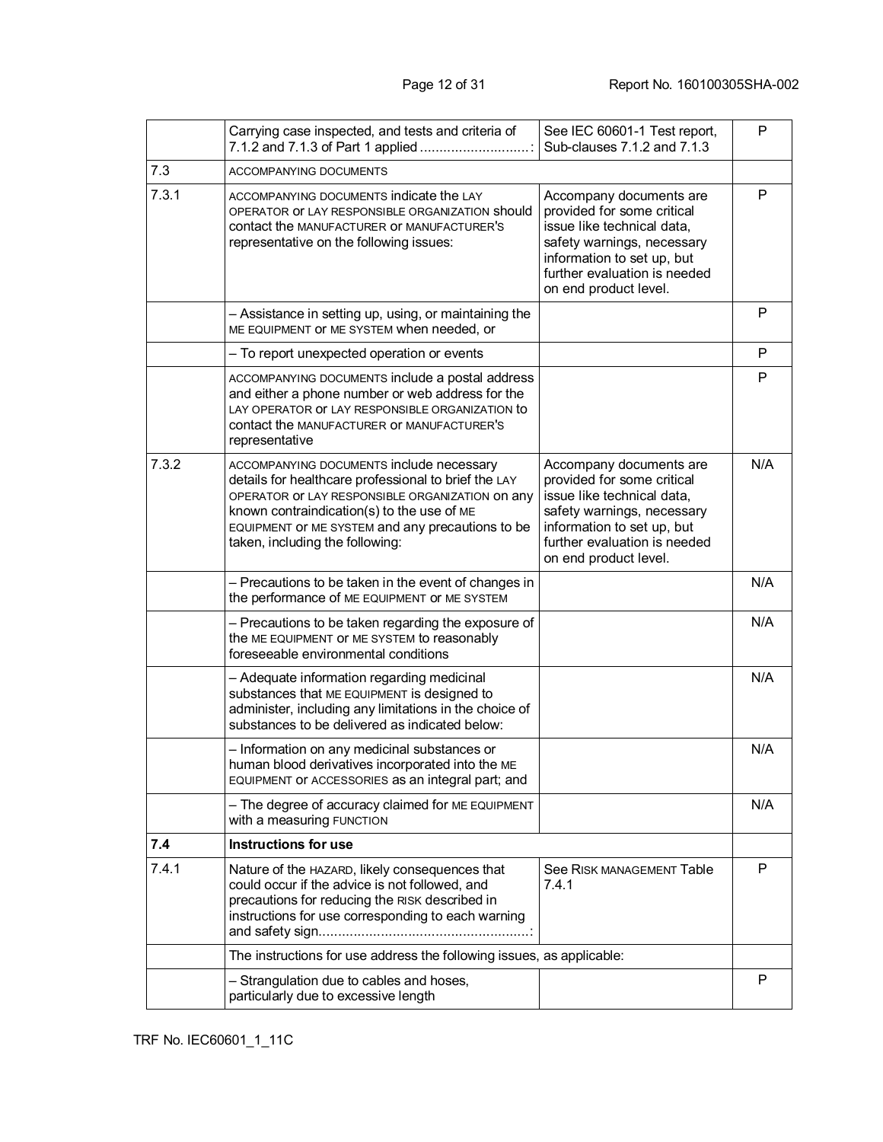|       | Carrying case inspected, and tests and criteria of<br>7.1.2 and 7.1.3 of Part 1 applied                                                                                                                                                                                                  | See IEC 60601-1 Test report,<br>Sub-clauses 7.1.2 and 7.1.3                                                                                                                                              | P   |
|-------|------------------------------------------------------------------------------------------------------------------------------------------------------------------------------------------------------------------------------------------------------------------------------------------|----------------------------------------------------------------------------------------------------------------------------------------------------------------------------------------------------------|-----|
| 7.3   | ACCOMPANYING DOCUMENTS                                                                                                                                                                                                                                                                   |                                                                                                                                                                                                          |     |
| 7.3.1 | ACCOMPANYING DOCUMENTS indicate the LAY<br>OPERATOR OF LAY RESPONSIBLE ORGANIZATION Should<br>contact the MANUFACTURER OF MANUFACTURER'S<br>representative on the following issues:                                                                                                      | Accompany documents are<br>provided for some critical<br>issue like technical data,<br>safety warnings, necessary<br>information to set up, but<br>further evaluation is needed<br>on end product level. | P   |
|       | - Assistance in setting up, using, or maintaining the<br>ME EQUIPMENT OF ME SYSTEM when needed, or                                                                                                                                                                                       |                                                                                                                                                                                                          | P   |
|       | - To report unexpected operation or events                                                                                                                                                                                                                                               |                                                                                                                                                                                                          | P   |
|       | ACCOMPANYING DOCUMENTS include a postal address<br>and either a phone number or web address for the<br>LAY OPERATOR OF LAY RESPONSIBLE ORGANIZATION to<br><b>contact the MANUFACTURER OF MANUFACTURER'S</b><br>representative                                                            |                                                                                                                                                                                                          | P   |
| 7.3.2 | ACCOMPANYING DOCUMENTS include necessary<br>details for healthcare professional to brief the LAY<br>OPERATOR OF LAY RESPONSIBLE ORGANIZATION ON ANY<br>known contraindication(s) to the use of ME<br>EQUIPMENT OF ME SYSTEM and any precautions to be<br>taken, including the following: | Accompany documents are<br>provided for some critical<br>issue like technical data,<br>safety warnings, necessary<br>information to set up, but<br>further evaluation is needed<br>on end product level. | N/A |
|       | - Precautions to be taken in the event of changes in<br>the performance of ME EQUIPMENT OF ME SYSTEM                                                                                                                                                                                     |                                                                                                                                                                                                          | N/A |
|       | - Precautions to be taken regarding the exposure of<br>the ME EQUIPMENT OF ME SYSTEM to reasonably<br>foreseeable environmental conditions                                                                                                                                               |                                                                                                                                                                                                          | N/A |
|       | - Adequate information regarding medicinal<br>substances that ME EQUIPMENT is designed to<br>administer, including any limitations in the choice of<br>substances to be delivered as indicated below:                                                                                    |                                                                                                                                                                                                          | N/A |
|       | - Information on any medicinal substances or<br>human blood derivatives incorporated into the ME<br>EQUIPMENT OF ACCESSORIES as an integral part; and                                                                                                                                    |                                                                                                                                                                                                          | N/A |
|       | - The degree of accuracy claimed for ME EQUIPMENT<br>with a measuring FUNCTION                                                                                                                                                                                                           |                                                                                                                                                                                                          | N/A |
| 7.4   | <b>Instructions for use</b>                                                                                                                                                                                                                                                              |                                                                                                                                                                                                          |     |
| 7.4.1 | Nature of the HAZARD, likely consequences that<br>could occur if the advice is not followed, and<br>precautions for reducing the RISK described in<br>instructions for use corresponding to each warning                                                                                 | See RISK MANAGEMENT Table<br>7.4.1                                                                                                                                                                       | P   |
|       | The instructions for use address the following issues, as applicable:                                                                                                                                                                                                                    |                                                                                                                                                                                                          |     |
|       | - Strangulation due to cables and hoses,<br>particularly due to excessive length                                                                                                                                                                                                         |                                                                                                                                                                                                          | P   |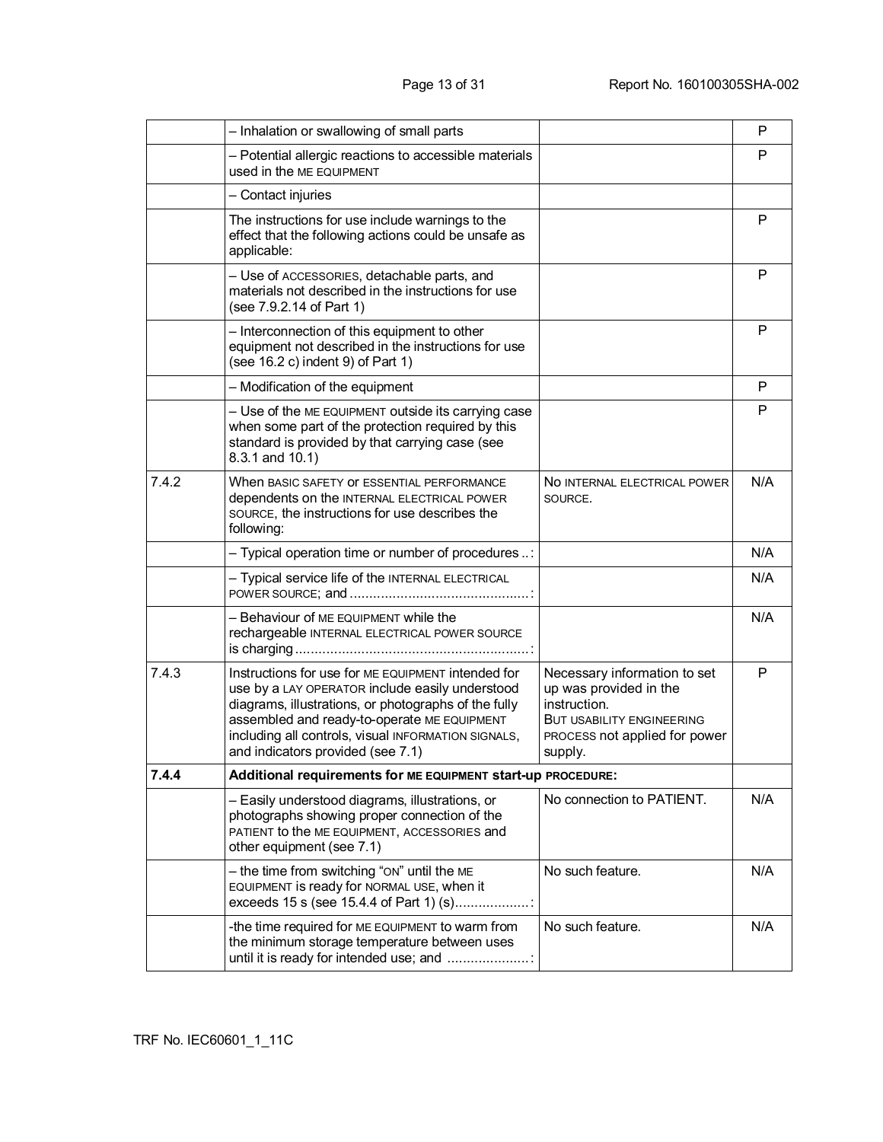|       | - Inhalation or swallowing of small parts                                                                                                                                                                                                                                                                |                                                                                                                                                        | P   |
|-------|----------------------------------------------------------------------------------------------------------------------------------------------------------------------------------------------------------------------------------------------------------------------------------------------------------|--------------------------------------------------------------------------------------------------------------------------------------------------------|-----|
|       | - Potential allergic reactions to accessible materials<br>used in the ME EQUIPMENT                                                                                                                                                                                                                       |                                                                                                                                                        | P   |
|       | - Contact injuries                                                                                                                                                                                                                                                                                       |                                                                                                                                                        |     |
|       | The instructions for use include warnings to the<br>effect that the following actions could be unsafe as<br>applicable:                                                                                                                                                                                  |                                                                                                                                                        | P   |
|       | - Use of ACCESSORIES, detachable parts, and<br>materials not described in the instructions for use<br>(see 7.9.2.14 of Part 1)                                                                                                                                                                           |                                                                                                                                                        | P   |
|       | - Interconnection of this equipment to other<br>equipment not described in the instructions for use<br>(see 16.2 c) indent 9) of Part 1)                                                                                                                                                                 |                                                                                                                                                        | P   |
|       | - Modification of the equipment                                                                                                                                                                                                                                                                          |                                                                                                                                                        | P   |
|       | - Use of the ME EQUIPMENT outside its carrying case<br>when some part of the protection required by this<br>standard is provided by that carrying case (see<br>8.3.1 and 10.1)                                                                                                                           |                                                                                                                                                        | P   |
| 7.4.2 | When BASIC SAFETY OF ESSENTIAL PERFORMANCE<br>dependents on the INTERNAL ELECTRICAL POWER<br>SOURCE, the instructions for use describes the<br>following:                                                                                                                                                | NO INTERNAL ELECTRICAL POWER<br>SOURCE.                                                                                                                | N/A |
|       | - Typical operation time or number of procedures :                                                                                                                                                                                                                                                       |                                                                                                                                                        | N/A |
|       | - Typical service life of the INTERNAL ELECTRICAL                                                                                                                                                                                                                                                        |                                                                                                                                                        | N/A |
|       | - Behaviour of ME EQUIPMENT while the<br>rechargeable INTERNAL ELECTRICAL POWER SOURCE                                                                                                                                                                                                                   |                                                                                                                                                        | N/A |
| 7.4.3 | Instructions for use for ME EQUIPMENT intended for<br>use by a LAY OPERATOR include easily understood<br>diagrams, illustrations, or photographs of the fully<br>assembled and ready-to-operate ME EQUIPMENT<br>including all controls, visual INFORMATION SIGNALS,<br>and indicators provided (see 7.1) | Necessary information to set<br>up was provided in the<br>instruction.<br><b>BUT USABILITY ENGINEERING</b><br>PROCESS not applied for power<br>supply. | P   |
| 7.4.4 | Additional requirements for ME EQUIPMENT start-up PROCEDURE:                                                                                                                                                                                                                                             |                                                                                                                                                        |     |
|       | - Easily understood diagrams, illustrations, or<br>photographs showing proper connection of the<br>PATIENT to the ME EQUIPMENT, ACCESSORIES and<br>other equipment (see 7.1)                                                                                                                             | No connection to PATIENT.                                                                                                                              | N/A |
|       | - the time from switching "ON" until the ME<br>EQUIPMENT is ready for NORMAL USE, when it<br>exceeds 15 s (see 15.4.4 of Part 1) (s)                                                                                                                                                                     | No such feature.                                                                                                                                       | N/A |
|       | -the time required for ME EQUIPMENT to warm from<br>the minimum storage temperature between uses<br>until it is ready for intended use; and                                                                                                                                                              | No such feature.                                                                                                                                       | N/A |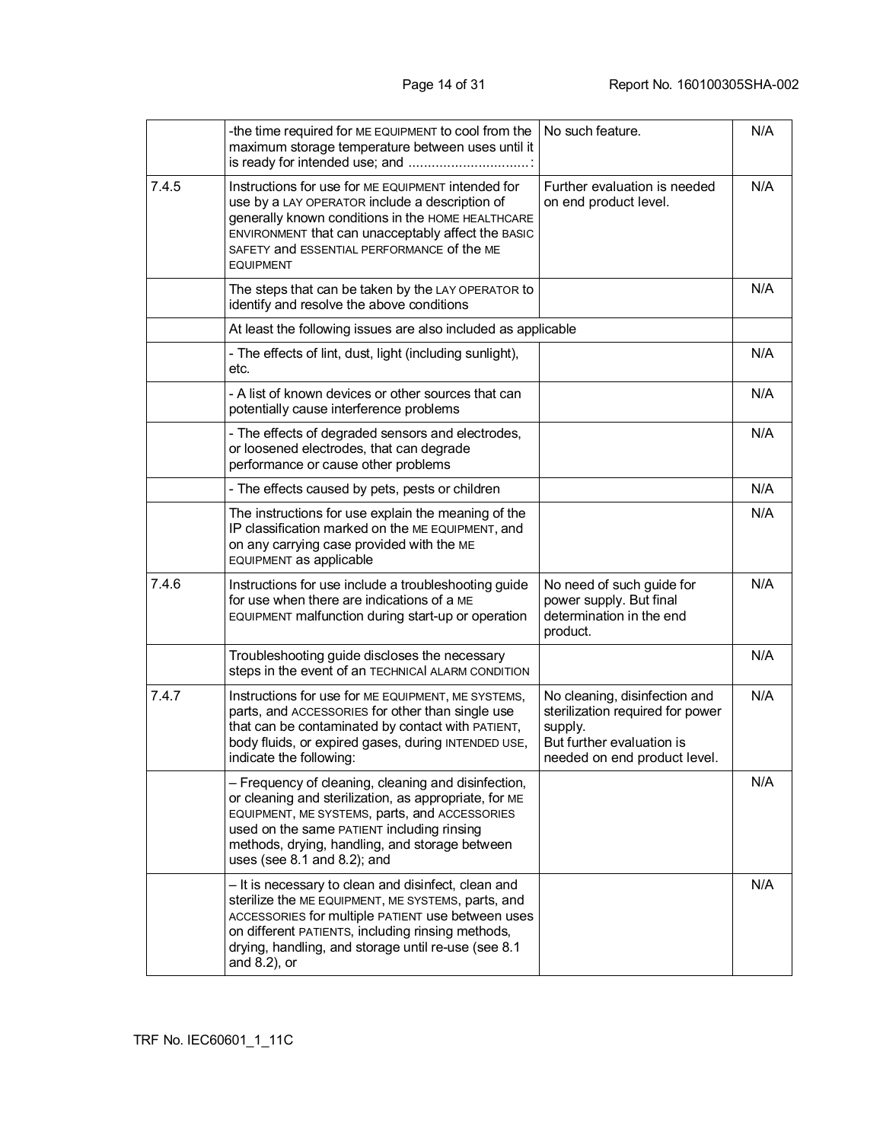|       | -the time required for ME EQUIPMENT to cool from the<br>maximum storage temperature between uses until it                                                                                                                                                                                         | No such feature.                                                                                                                          | N/A |
|-------|---------------------------------------------------------------------------------------------------------------------------------------------------------------------------------------------------------------------------------------------------------------------------------------------------|-------------------------------------------------------------------------------------------------------------------------------------------|-----|
| 7.4.5 | Instructions for use for ME EQUIPMENT intended for<br>use by a LAY OPERATOR include a description of<br>generally known conditions in the HOME HEALTHCARE<br>ENVIRONMENT that can unacceptably affect the BASIC<br>SAFETY and ESSENTIAL PERFORMANCE of the ME<br><b>EQUIPMENT</b>                 | Further evaluation is needed<br>on end product level.                                                                                     | N/A |
|       | The steps that can be taken by the LAY OPERATOR to<br>identify and resolve the above conditions                                                                                                                                                                                                   |                                                                                                                                           | N/A |
|       | At least the following issues are also included as applicable                                                                                                                                                                                                                                     |                                                                                                                                           |     |
|       | - The effects of lint, dust, light (including sunlight),<br>etc.                                                                                                                                                                                                                                  |                                                                                                                                           | N/A |
|       | - A list of known devices or other sources that can<br>potentially cause interference problems                                                                                                                                                                                                    |                                                                                                                                           | N/A |
|       | - The effects of degraded sensors and electrodes,<br>or loosened electrodes, that can degrade<br>performance or cause other problems                                                                                                                                                              |                                                                                                                                           | N/A |
|       | - The effects caused by pets, pests or children                                                                                                                                                                                                                                                   |                                                                                                                                           | N/A |
|       | The instructions for use explain the meaning of the<br>IP classification marked on the ME EQUIPMENT, and<br>on any carrying case provided with the ME<br>EQUIPMENT as applicable                                                                                                                  |                                                                                                                                           | N/A |
| 7.4.6 | Instructions for use include a troubleshooting guide<br>for use when there are indications of a ME<br>EQUIPMENT malfunction during start-up or operation                                                                                                                                          | No need of such guide for<br>power supply. But final<br>determination in the end<br>product.                                              | N/A |
|       | Troubleshooting guide discloses the necessary<br>steps in the event of an TECHNICAl ALARM CONDITION                                                                                                                                                                                               |                                                                                                                                           | N/A |
| 7.4.7 | Instructions for use for ME EQUIPMENT, ME SYSTEMS,<br>parts, and ACCESSORIES for other than single use<br>that can be contaminated by contact with PATIENT,<br>body fluids, or expired gases, during INTENDED USE,<br>indicate the following:                                                     | No cleaning, disinfection and<br>sterilization required for power<br>supply.<br>But further evaluation is<br>needed on end product level. | N/A |
|       | - Frequency of cleaning, cleaning and disinfection,<br>or cleaning and sterilization, as appropriate, for ME<br>EQUIPMENT, ME SYSTEMS, parts, and ACCESSORIES<br>used on the same PATIENT including rinsing<br>methods, drying, handling, and storage between<br>uses (see $8.1$ and $8.2$ ); and |                                                                                                                                           | N/A |
|       | - It is necessary to clean and disinfect, clean and<br>sterilize the ME EQUIPMENT, ME SYSTEMS, parts, and<br>ACCESSORIES for multiple PATIENT use between uses<br>on different PATIENTS, including rinsing methods,<br>drying, handling, and storage until re-use (see 8.1<br>and 8.2), or        |                                                                                                                                           | N/A |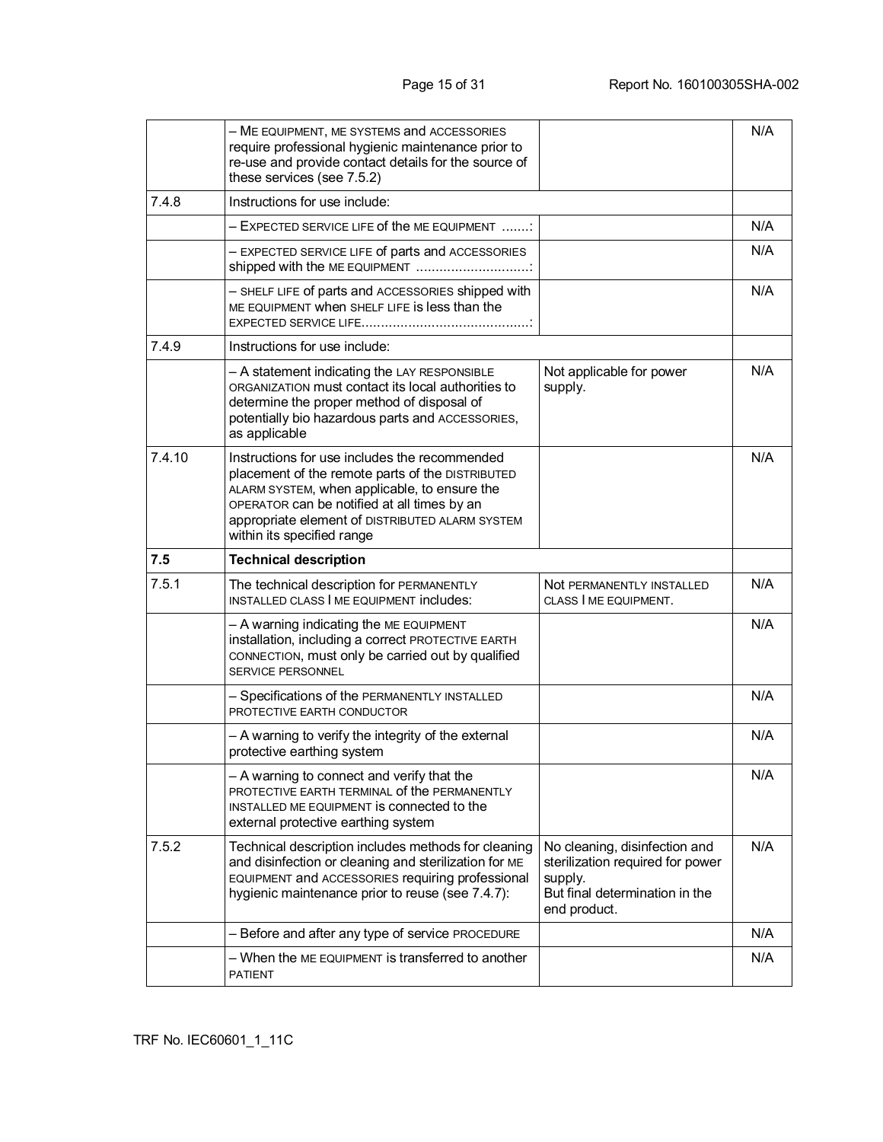|        | - ME EQUIPMENT, ME SYSTEMS and ACCESSORIES<br>require professional hygienic maintenance prior to<br>re-use and provide contact details for the source of<br>these services (see 7.5.2)                                                                                            |                                                                                                                                | N/A |
|--------|-----------------------------------------------------------------------------------------------------------------------------------------------------------------------------------------------------------------------------------------------------------------------------------|--------------------------------------------------------------------------------------------------------------------------------|-----|
| 7.4.8  | Instructions for use include:                                                                                                                                                                                                                                                     |                                                                                                                                |     |
|        | $-$ EXPECTED SERVICE LIFE of the ME EQUIPMENT $\ldots$                                                                                                                                                                                                                            |                                                                                                                                | N/A |
|        | - EXPECTED SERVICE LIFE of parts and ACCESSORIES<br>shipped with the ME EQUIPMENT                                                                                                                                                                                                 |                                                                                                                                | N/A |
|        | - SHELF LIFE of parts and ACCESSORIES shipped with<br>ME EQUIPMENT when SHELF LIFE IS less than the                                                                                                                                                                               |                                                                                                                                | N/A |
| 7.4.9  | Instructions for use include:                                                                                                                                                                                                                                                     |                                                                                                                                |     |
|        | - A statement indicating the LAY RESPONSIBLE<br>ORGANIZATION must contact its local authorities to<br>determine the proper method of disposal of<br>potentially bio hazardous parts and ACCESSORIES,<br>as applicable                                                             | Not applicable for power<br>supply.                                                                                            | N/A |
| 7.4.10 | Instructions for use includes the recommended<br>placement of the remote parts of the DISTRIBUTED<br>ALARM SYSTEM, when applicable, to ensure the<br>OPERATOR can be notified at all times by an<br>appropriate element of DISTRIBUTED ALARM SYSTEM<br>within its specified range |                                                                                                                                | N/A |
|        |                                                                                                                                                                                                                                                                                   |                                                                                                                                |     |
| 7.5    | <b>Technical description</b>                                                                                                                                                                                                                                                      |                                                                                                                                |     |
| 7.5.1  | The technical description for PERMANENTLY<br>INSTALLED CLASS   ME EQUIPMENT INCLUDES:                                                                                                                                                                                             | Not PERMANENTLY INSTALLED<br>CLASS I ME EQUIPMENT.                                                                             | N/A |
|        | - A warning indicating the ME EQUIPMENT<br>installation, including a correct PROTECTIVE EARTH<br>CONNECTION, must only be carried out by qualified<br>SERVICE PERSONNEL                                                                                                           |                                                                                                                                | N/A |
|        | - Specifications of the PERMANENTLY INSTALLED<br>PROTECTIVE EARTH CONDUCTOR                                                                                                                                                                                                       |                                                                                                                                | N/A |
|        | - A warning to verify the integrity of the external<br>protective earthing system                                                                                                                                                                                                 |                                                                                                                                | N/A |
|        | - A warning to connect and verify that the<br>PROTECTIVE EARTH TERMINAL of the PERMANENTLY<br>INSTALLED ME EQUIPMENT IS CONNECTED to the<br>external protective earthing system                                                                                                   |                                                                                                                                | N/A |
| 7.5.2  | Technical description includes methods for cleaning<br>and disinfection or cleaning and sterilization for ME<br>EQUIPMENT and ACCESSORIES requiring professional<br>hygienic maintenance prior to reuse (see 7.4.7):                                                              | No cleaning, disinfection and<br>sterilization required for power<br>supply.<br>But final determination in the<br>end product. | N/A |
|        | - Before and after any type of service PROCEDURE                                                                                                                                                                                                                                  |                                                                                                                                | N/A |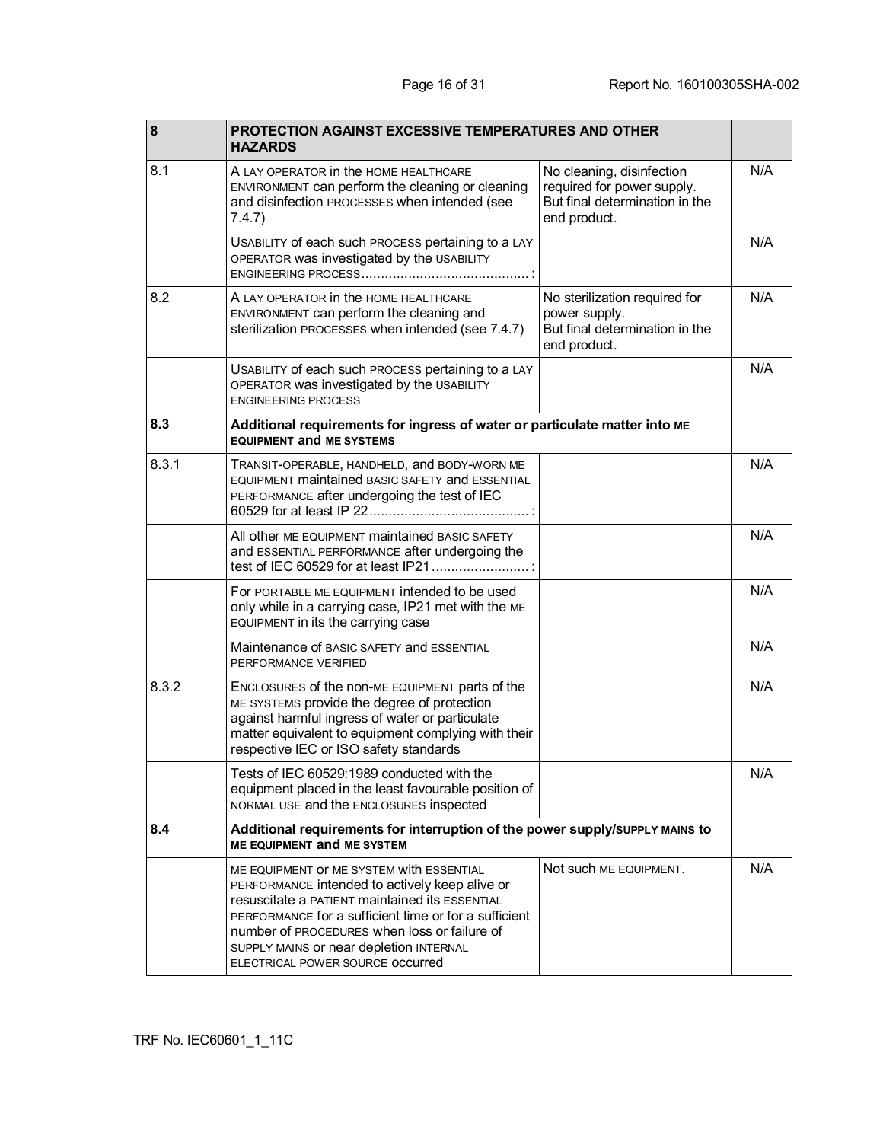| 8     | <b>PROTECTION AGAINST EXCESSIVE TEMPERATURES AND OTHER</b><br><b>HAZARDS</b>                                                                                                                                                                                                                                                                |                                                                                                           |     |
|-------|---------------------------------------------------------------------------------------------------------------------------------------------------------------------------------------------------------------------------------------------------------------------------------------------------------------------------------------------|-----------------------------------------------------------------------------------------------------------|-----|
| 8.1   | A LAY OPERATOR In the HOME HEALTHCARE<br>ENVIRONMENT can perform the cleaning or cleaning<br>and disinfection PROCESSES when intended (see<br>7.4.7)                                                                                                                                                                                        | No cleaning, disinfection<br>required for power supply.<br>But final determination in the<br>end product. | N/A |
|       | USABILITY of each such PROCESS pertaining to a LAY<br>OPERATOR was investigated by the USABILITY                                                                                                                                                                                                                                            |                                                                                                           | N/A |
| 8.2   | A LAY OPERATOR IN the HOME HEALTHCARE<br>ENVIRONMENT can perform the cleaning and<br>sterilization PROCESSES when intended (see 7.4.7)                                                                                                                                                                                                      | No sterilization required for<br>power supply.<br>But final determination in the<br>end product.          | N/A |
|       | USABILITY of each such PROCESS pertaining to a LAY<br>OPERATOR was investigated by the USABILITY<br><b>ENGINEERING PROCESS</b>                                                                                                                                                                                                              |                                                                                                           | N/A |
| 8.3   | Additional requirements for ingress of water or particulate matter into ME<br><b>EQUIPMENT and ME SYSTEMS</b>                                                                                                                                                                                                                               |                                                                                                           |     |
| 8.3.1 | TRANSIT-OPERABLE, HANDHELD, and BODY-WORN ME<br>EQUIPMENT maintained BASIC SAFETY and ESSENTIAL<br>PERFORMANCE after undergoing the test of IEC                                                                                                                                                                                             |                                                                                                           | N/A |
|       | All other ME EQUIPMENT maintained BASIC SAFETY<br>and ESSENTIAL PERFORMANCE after undergoing the<br>test of IEC 60529 for at least IP21                                                                                                                                                                                                     |                                                                                                           | N/A |
|       | For PORTABLE ME EQUIPMENT intended to be used<br>only while in a carrying case, IP21 met with the ME<br>EQUIPMENT in its the carrying case                                                                                                                                                                                                  |                                                                                                           | N/A |
|       | Maintenance of BASIC SAFETY and ESSENTIAL<br>PERFORMANCE VERIFIED                                                                                                                                                                                                                                                                           |                                                                                                           | N/A |
| 8.3.2 | ENCLOSURES of the non-ME EQUIPMENT parts of the<br>ME SYSTEMS provide the degree of protection<br>against harmful ingress of water or particulate<br>matter equivalent to equipment complying with their<br>respective IEC or ISO safety standards                                                                                          |                                                                                                           | N/A |
|       | Tests of IEC 60529:1989 conducted with the<br>equipment placed in the least favourable position of<br>NORMAL USE and the ENCLOSURES inspected                                                                                                                                                                                               |                                                                                                           | N/A |
| 8.4   | Additional requirements for interruption of the power supply/suppLY MAINS to<br>ME EQUIPMENT and ME SYSTEM                                                                                                                                                                                                                                  |                                                                                                           |     |
|       | ME EQUIPMENT OF ME SYSTEM with ESSENTIAL<br>PERFORMANCE intended to actively keep alive or<br><b>resuscitate a PATIENT maintained its ESSENTIAL</b><br>PERFORMANCE for a sufficient time or for a sufficient<br>number of PROCEDURES when loss or failure of<br>SUPPLY MAINS or near depletion INTERNAL<br>ELECTRICAL POWER SOURCE OCCUITED | Not such ME EQUIPMENT.                                                                                    | N/A |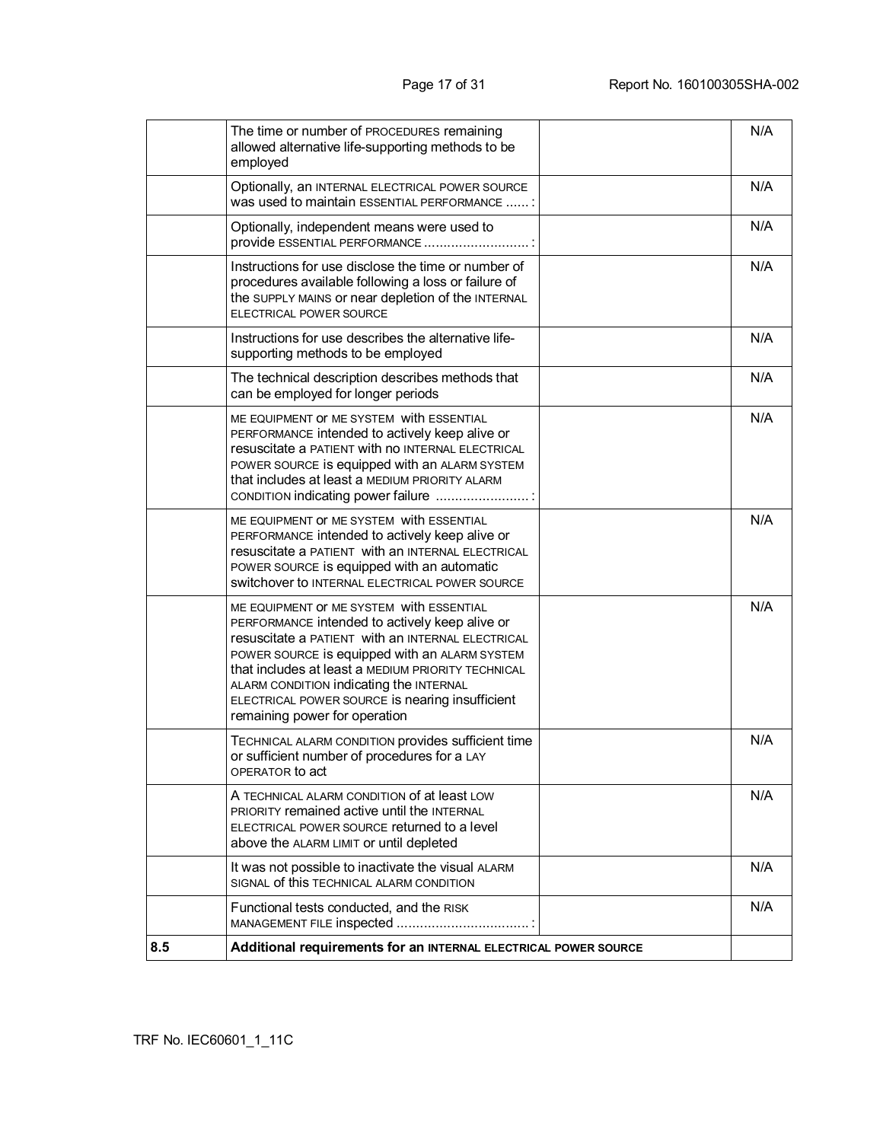| 8.5 | Additional requirements for an INTERNAL ELECTRICAL POWER SOURCE                                                                                                                                                                                                                                                                                                                       |     |
|-----|---------------------------------------------------------------------------------------------------------------------------------------------------------------------------------------------------------------------------------------------------------------------------------------------------------------------------------------------------------------------------------------|-----|
|     | Functional tests conducted, and the RISK                                                                                                                                                                                                                                                                                                                                              | N/A |
|     | It was not possible to inactivate the visual ALARM<br>SIGNAL of this TECHNICAL ALARM CONDITION                                                                                                                                                                                                                                                                                        | N/A |
|     | A TECHNICAL ALARM CONDITION of at least LOW<br>PRIORITY remained active until the INTERNAL<br>ELECTRICAL POWER SOURCE returned to a level<br>above the ALARM LIMIT or until depleted                                                                                                                                                                                                  | N/A |
|     | TECHNICAL ALARM CONDITION provides sufficient time<br>or sufficient number of procedures for a LAY<br>OPERATOR to act                                                                                                                                                                                                                                                                 | N/A |
|     | ME EQUIPMENT OF ME SYSTEM with ESSENTIAL<br>PERFORMANCE intended to actively keep alive or<br>resuscitate a PATIENT with an INTERNAL ELECTRICAL<br>POWER SOURCE IS equipped with an ALARM SYSTEM<br>that includes at least a MEDIUM PRIORITY TECHNICAL<br>ALARM CONDITION indicating the INTERNAL<br>ELECTRICAL POWER SOURCE is nearing insufficient<br>remaining power for operation | N/A |
|     | ME EQUIPMENT OF ME SYSTEM with ESSENTIAL<br>PERFORMANCE intended to actively keep alive or<br>resuscitate a PATIENT with an INTERNAL ELECTRICAL<br>POWER SOURCE is equipped with an automatic<br>SWITCHOVER TO INTERNAL ELECTRICAL POWER SOURCE                                                                                                                                       | N/A |
|     | ME EQUIPMENT OF ME SYSTEM with ESSENTIAL<br>PERFORMANCE intended to actively keep alive or<br><b>resuscitate a PATIENT with no INTERNAL ELECTRICAL</b><br>POWER SOURCE IS equipped with an ALARM SYSTEM<br>that includes at least a MEDIUM PRIORITY ALARM<br>CONDITION indicating power failure                                                                                       | N/A |
|     | The technical description describes methods that<br>can be employed for longer periods                                                                                                                                                                                                                                                                                                | N/A |
|     | Instructions for use describes the alternative life-<br>supporting methods to be employed                                                                                                                                                                                                                                                                                             | N/A |
|     | Instructions for use disclose the time or number of<br>procedures available following a loss or failure of<br>the SUPPLY MAINS or near depletion of the INTERNAL<br>ELECTRICAL POWER SOURCE                                                                                                                                                                                           | N/A |
|     | Optionally, independent means were used to<br>provide ESSENTIAL PERFORMANCE                                                                                                                                                                                                                                                                                                           | N/A |
|     | Optionally, an INTERNAL ELECTRICAL POWER SOURCE<br>was used to maintain ESSENTIAL PERFORMANCE :                                                                                                                                                                                                                                                                                       | N/A |
|     | The time or number of PROCEDURES remaining<br>allowed alternative life-supporting methods to be<br>employed                                                                                                                                                                                                                                                                           | N/A |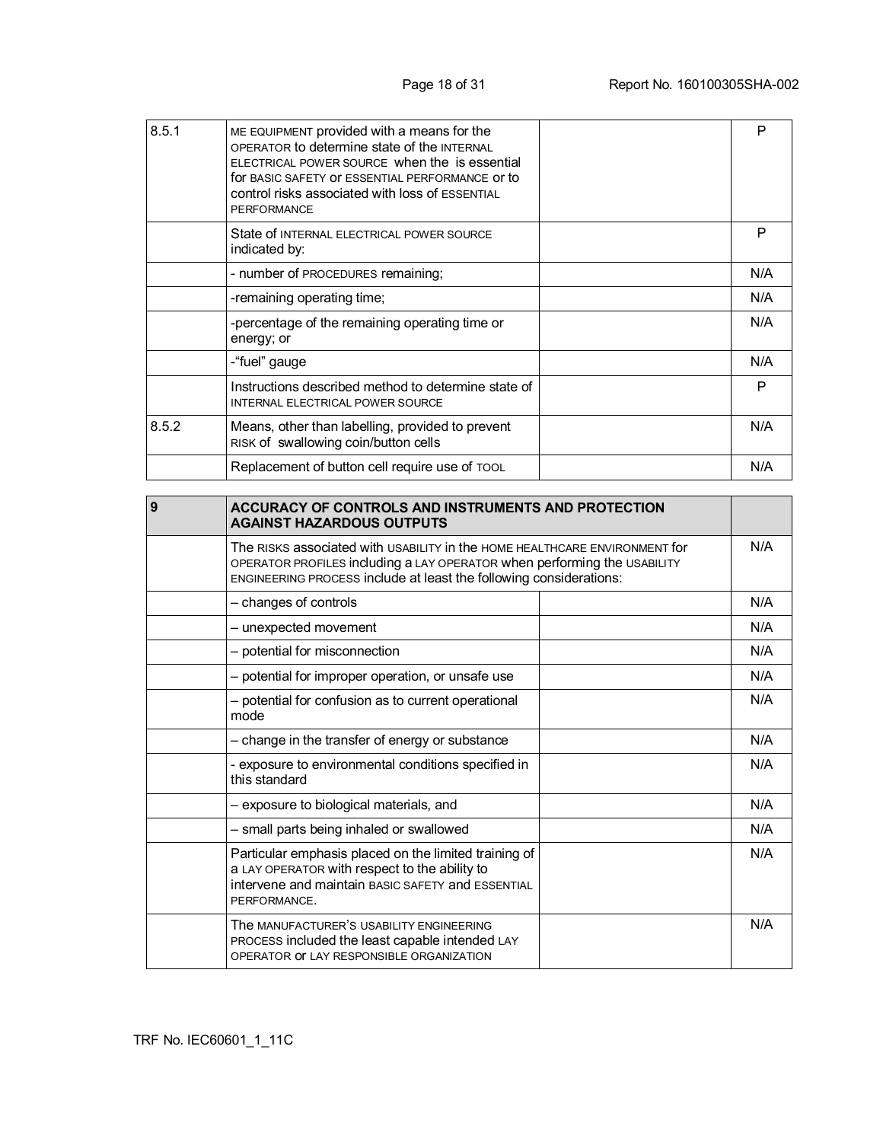| 8.5.1 | ME EQUIPMENT provided with a means for the<br>OPERATOR to determine state of the INTERNAL<br>ELECTRICAL POWER SOURCE when the is essential<br>for BASIC SAFETY OF ESSENTIAL PERFORMANCE OF to<br>control risks associated with loss of ESSENTIAL<br><b>PERFORMANCE</b> | P   |
|-------|------------------------------------------------------------------------------------------------------------------------------------------------------------------------------------------------------------------------------------------------------------------------|-----|
|       | State of INTERNAL ELECTRICAL POWER SOURCE<br>indicated by:                                                                                                                                                                                                             | P   |
|       | - number of PROCEDURES remaining;                                                                                                                                                                                                                                      | N/A |
|       | -remaining operating time;                                                                                                                                                                                                                                             | N/A |
|       | -percentage of the remaining operating time or<br>energy; or                                                                                                                                                                                                           | N/A |
|       | -"fuel" gauge                                                                                                                                                                                                                                                          | N/A |
|       | Instructions described method to determine state of<br><b>INTERNAL ELECTRICAL POWER SOURCE</b>                                                                                                                                                                         | P   |
| 8.5.2 | Means, other than labelling, provided to prevent<br>RISK of swallowing coin/button cells                                                                                                                                                                               | N/A |
|       | Replacement of button cell require use of TOOL                                                                                                                                                                                                                         | N/A |

| 9 | <b>ACCURACY OF CONTROLS AND INSTRUMENTS AND PROTECTION</b><br><b>AGAINST HAZARDOUS OUTPUTS</b>                                                                                                                               |     |
|---|------------------------------------------------------------------------------------------------------------------------------------------------------------------------------------------------------------------------------|-----|
|   | The RISKS associated with USABILITY in the HOME HEALTHCARE ENVIRONMENT for<br>OPERATOR PROFILES including a LAY OPERATOR when performing the USABILITY<br>ENGINEERING PROCESS include at least the following considerations: |     |
|   | - changes of controls                                                                                                                                                                                                        | N/A |
|   | - unexpected movement                                                                                                                                                                                                        | N/A |
|   | - potential for misconnection                                                                                                                                                                                                | N/A |
|   | - potential for improper operation, or unsafe use                                                                                                                                                                            | N/A |
|   | - potential for confusion as to current operational<br>mode                                                                                                                                                                  | N/A |
|   | - change in the transfer of energy or substance                                                                                                                                                                              | N/A |
|   | - exposure to environmental conditions specified in<br>this standard                                                                                                                                                         | N/A |
|   | - exposure to biological materials, and                                                                                                                                                                                      | N/A |
|   | - small parts being inhaled or swallowed                                                                                                                                                                                     | N/A |
|   | Particular emphasis placed on the limited training of<br>a LAY OPERATOR with respect to the ability to<br>intervene and maintain BASIC SAFETY and ESSENTIAL<br>PERFORMANCE.                                                  | N/A |
|   | The MANUFACTURER'S USABILITY ENGINEERING<br>PROCESS included the least capable intended LAY<br>OPERATOR OF LAY RESPONSIBLE ORGANIZATION                                                                                      | N/A |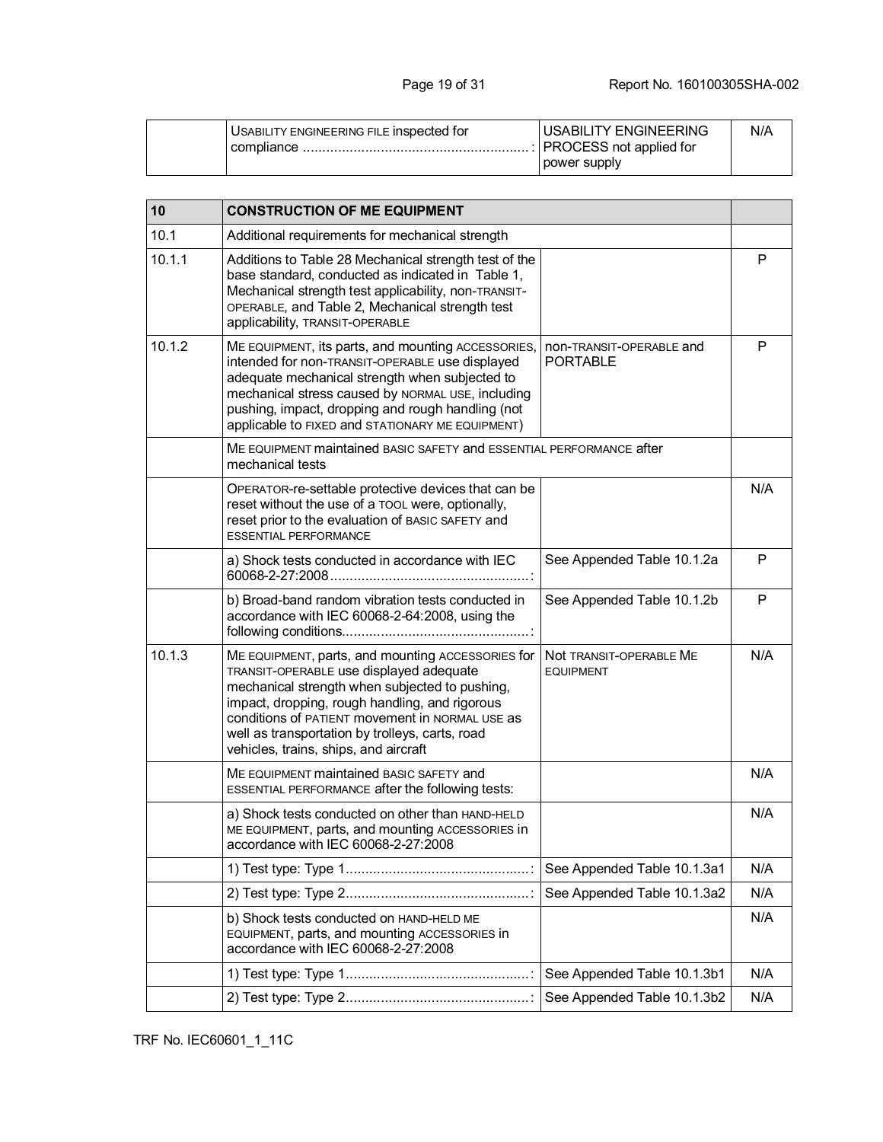| USABILITY ENGINEERING FILE INSpected for | <b>USABILITY ENGINEERING</b> | N/A |
|------------------------------------------|------------------------------|-----|
| compliance                               |                              |     |
|                                          | power supply                 |     |

| 10     | <b>CONSTRUCTION OF ME EQUIPMENT</b>                                                                                                                                                                                                                                                                                                             |                                             |     |
|--------|-------------------------------------------------------------------------------------------------------------------------------------------------------------------------------------------------------------------------------------------------------------------------------------------------------------------------------------------------|---------------------------------------------|-----|
| 10.1   | Additional requirements for mechanical strength                                                                                                                                                                                                                                                                                                 |                                             |     |
| 10.1.1 | Additions to Table 28 Mechanical strength test of the<br>base standard, conducted as indicated in Table 1,<br>Mechanical strength test applicability, non-TRANSIT-<br>OPERABLE, and Table 2, Mechanical strength test<br>applicability, TRANSIT-OPERABLE                                                                                        |                                             | P   |
| 10.1.2 | ME EQUIPMENT, its parts, and mounting ACCESSORIES,<br>intended for non-TRANSIT-OPERABLE use displayed<br>adequate mechanical strength when subjected to<br>mechanical stress caused by NORMAL USE, including<br>pushing, impact, dropping and rough handling (not<br>applicable to FIXED and STATIONARY ME EQUIPMENT)                           | non-TRANSIT-OPERABLE and<br><b>PORTABLE</b> | P   |
|        | ME EQUIPMENT maintained BASIC SAFETY and ESSENTIAL PERFORMANCE after<br>mechanical tests                                                                                                                                                                                                                                                        |                                             |     |
|        | OPERATOR-re-settable protective devices that can be<br>reset without the use of a TOOL were, optionally,<br>reset prior to the evaluation of BASIC SAFETY and<br><b>ESSENTIAL PERFORMANCE</b>                                                                                                                                                   |                                             | N/A |
|        | a) Shock tests conducted in accordance with IEC                                                                                                                                                                                                                                                                                                 | See Appended Table 10.1.2a                  | P   |
|        | b) Broad-band random vibration tests conducted in<br>accordance with IEC 60068-2-64:2008, using the                                                                                                                                                                                                                                             | See Appended Table 10.1.2b                  | P   |
| 10.1.3 | ME EQUIPMENT, parts, and mounting ACCESSORIES for<br>TRANSIT-OPERABLE use displayed adequate<br>mechanical strength when subjected to pushing,<br>impact, dropping, rough handling, and rigorous<br>conditions of PATIENT movement in NORMAL USE as<br>well as transportation by trolleys, carts, road<br>vehicles, trains, ships, and aircraft | Not TRANSIT-OPERABLE ME<br><b>EQUIPMENT</b> | N/A |
|        | ME EQUIPMENT maintained BASIC SAFETY and<br>ESSENTIAL PERFORMANCE after the following tests:                                                                                                                                                                                                                                                    |                                             | N/A |
|        | a) Shock tests conducted on other than HAND-HELD<br>ME EQUIPMENT, parts, and mounting ACCESSORIES in<br>accordance with IEC 60068-2-27:2008                                                                                                                                                                                                     |                                             | N/A |
|        |                                                                                                                                                                                                                                                                                                                                                 | See Appended Table 10.1.3a1                 | N/A |
|        |                                                                                                                                                                                                                                                                                                                                                 | See Appended Table 10.1.3a2                 | N/A |
|        | b) Shock tests conducted on HAND-HELD ME<br>EQUIPMENT, parts, and mounting ACCESSORIES in<br>accordance with IEC 60068-2-27:2008                                                                                                                                                                                                                |                                             | N/A |
|        |                                                                                                                                                                                                                                                                                                                                                 | See Appended Table 10.1.3b1                 | N/A |
|        |                                                                                                                                                                                                                                                                                                                                                 | See Appended Table 10.1.3b2                 | N/A |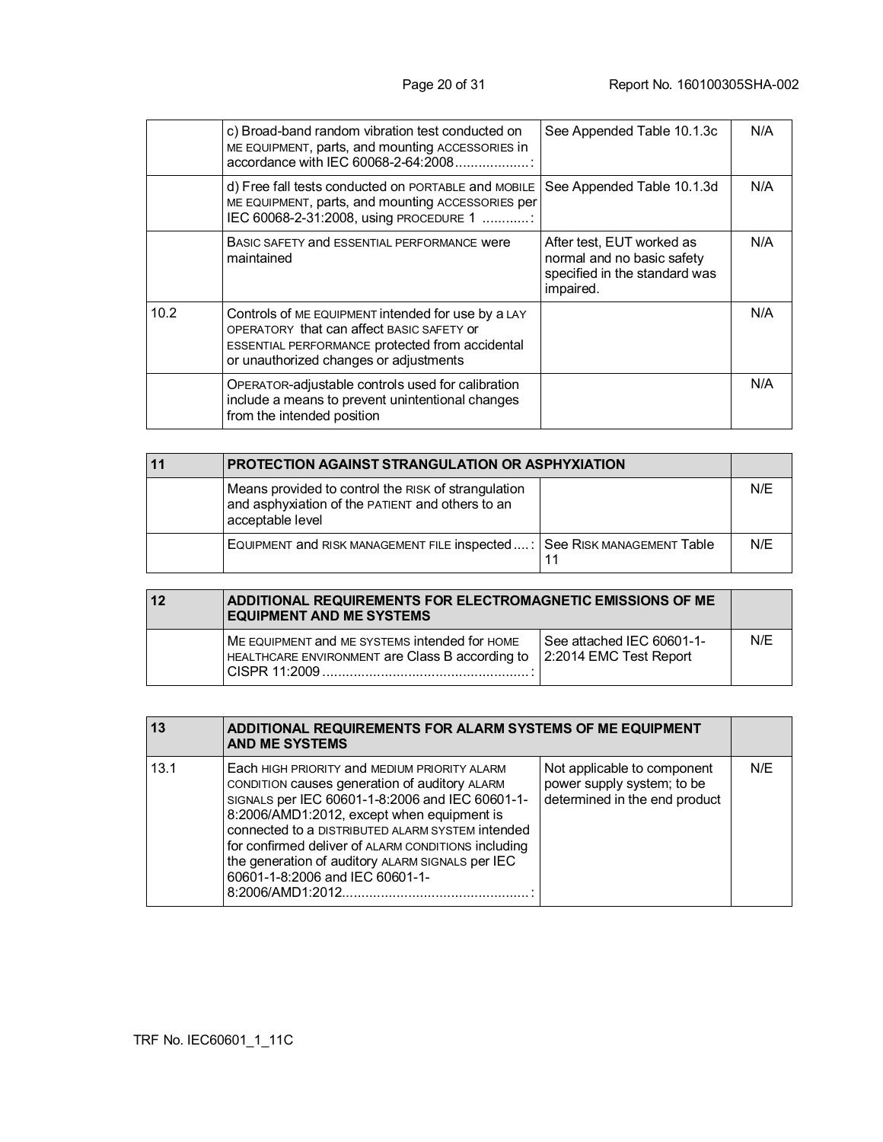|      | c) Broad-band random vibration test conducted on<br>ME EQUIPMENT, parts, and mounting ACCESSORIES in<br>accordance with IEC 60068-2-64:2008.                                                 | See Appended Table 10.1.3c                                                                            | N/A |
|------|----------------------------------------------------------------------------------------------------------------------------------------------------------------------------------------------|-------------------------------------------------------------------------------------------------------|-----|
|      | d) Free fall tests conducted on PORTABLE and MOBILE<br>ME EQUIPMENT, parts, and mounting ACCESSORIES per<br>IEC 60068-2-31:2008, using PROCEDURE 1                                           | See Appended Table 10.1.3d                                                                            | N/A |
|      | BASIC SAFETY and ESSENTIAL PERFORMANCE WETE<br>maintained                                                                                                                                    | After test, EUT worked as<br>normal and no basic safety<br>specified in the standard was<br>impaired. | N/A |
| 10.2 | Controls of ME EQUIPMENT intended for use by a LAY<br>OPERATORY that can affect BASIC SAFETY OF<br>ESSENTIAL PERFORMANCE protected from accidental<br>or unauthorized changes or adjustments |                                                                                                       | N/A |
|      | OPERATOR-adjustable controls used for calibration<br>include a means to prevent unintentional changes<br>from the intended position                                                          |                                                                                                       | N/A |

| PROTECTION AGAINST STRANGULATION OR ASPHYXIATION                                                                            |  |     |
|-----------------------------------------------------------------------------------------------------------------------------|--|-----|
| Means provided to control the RISK of strangulation<br>and asphyxiation of the PATIENT and others to an<br>acceptable level |  | N/E |
| EQUIPMENT and RISK MANAGEMENT FILE INSpected : See RISK MANAGEMENT Table                                                    |  | N/F |

| $\overline{12}$ | <b>ADDITIONAL REQUIREMENTS FOR ELECTROMAGNETIC EMISSIONS OF ME</b><br><b>EQUIPMENT AND ME SYSTEMS</b>                |                                                     |     |
|-----------------|----------------------------------------------------------------------------------------------------------------------|-----------------------------------------------------|-----|
|                 | ME EQUIPMENT and ME SYSTEMS intended for HOME<br>HEALTHCARE ENVIRONMENT are Class B according to<br>I CISPR 11:2009. | See attached IEC 60601-1-<br>2:2014 EMC Test Report | N/F |

| 13   | ADDITIONAL REQUIREMENTS FOR ALARM SYSTEMS OF ME EQUIPMENT<br><b>AND ME SYSTEMS</b>                                                                                                                                                                                                                                                                                                               |                                                                                            |     |
|------|--------------------------------------------------------------------------------------------------------------------------------------------------------------------------------------------------------------------------------------------------------------------------------------------------------------------------------------------------------------------------------------------------|--------------------------------------------------------------------------------------------|-----|
| 13.1 | Each HIGH PRIORITY and MEDIUM PRIORITY ALARM<br>CONDITION causes generation of auditory ALARM<br>SIGNALS per IEC 60601-1-8:2006 and IEC 60601-1-<br>8:2006/AMD1:2012, except when equipment is<br>connected to a DISTRIBUTED ALARM SYSTEM intended<br>for confirmed deliver of ALARM CONDITIONS including<br>the generation of auditory ALARM SIGNALS per IEC<br>60601-1-8:2006 and IEC 60601-1- | Not applicable to component<br>power supply system; to be<br>determined in the end product | N/F |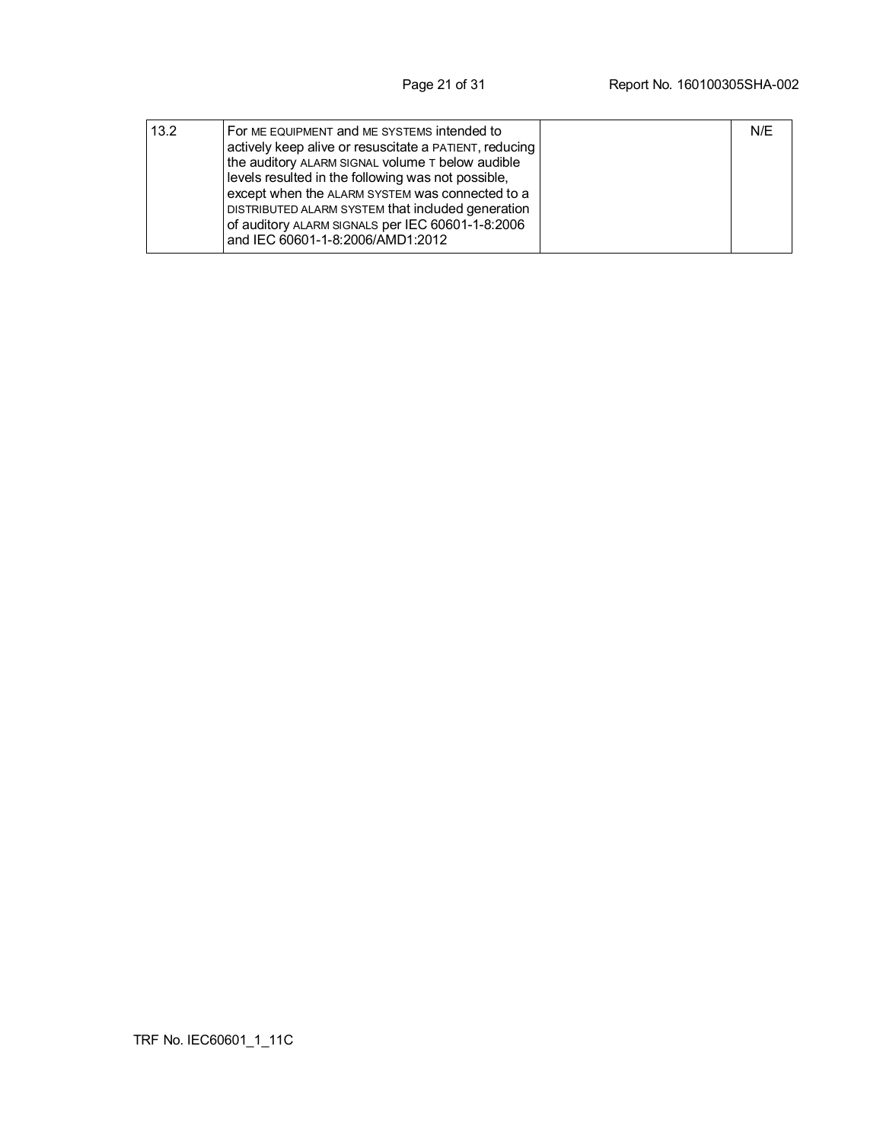| 13.2 | For ME EQUIPMENT and ME SYSTEMS intended to<br>actively keep alive or resuscitate a PATIENT, reducing<br>the auditory ALARM SIGNAL volume T below audible<br>levels resulted in the following was not possible,<br>except when the ALARM SYSTEM was connected to a<br>DISTRIBUTED ALARM SYSTEM that included generation<br>of auditory ALARM SIGNALS per IEC 60601-1-8:2006 | N/E |
|------|-----------------------------------------------------------------------------------------------------------------------------------------------------------------------------------------------------------------------------------------------------------------------------------------------------------------------------------------------------------------------------|-----|
|      | and IEC 60601-1-8:2006/AMD1:2012                                                                                                                                                                                                                                                                                                                                            |     |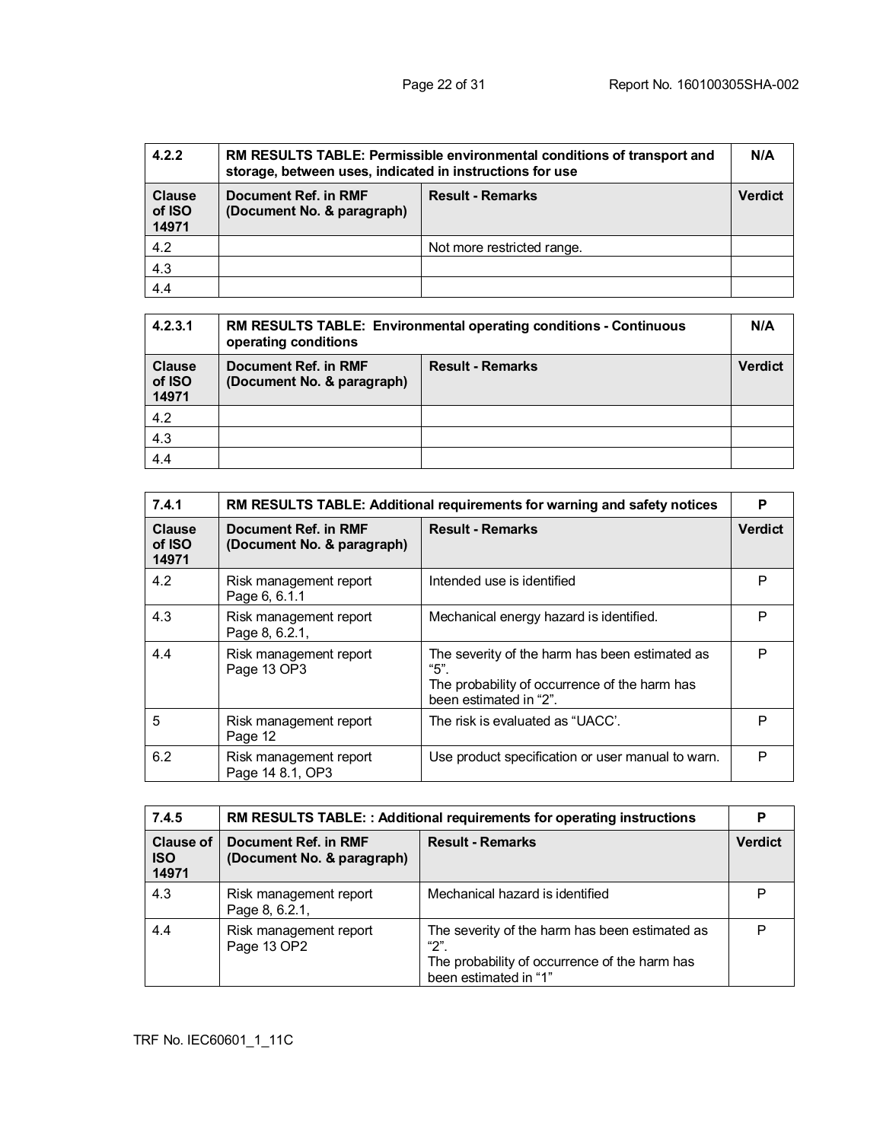| 4.2.2                            | RM RESULTS TABLE: Permissible environmental conditions of transport and<br>storage, between uses, indicated in instructions for use |                            | N/A            |
|----------------------------------|-------------------------------------------------------------------------------------------------------------------------------------|----------------------------|----------------|
| <b>Clause</b><br>of ISO<br>14971 | <b>Result - Remarks</b><br>Document Ref. in RMF<br>(Document No. & paragraph)                                                       |                            | <b>Verdict</b> |
| 4.2                              |                                                                                                                                     | Not more restricted range. |                |
| 4.3                              |                                                                                                                                     |                            |                |
| 4.4                              |                                                                                                                                     |                            |                |

| 4.2.3.1                          | RM RESULTS TABLE: Environmental operating conditions - Continuous<br>operating conditions |                         | N/A            |
|----------------------------------|-------------------------------------------------------------------------------------------|-------------------------|----------------|
| <b>Clause</b><br>of ISO<br>14971 | Document Ref. in RMF<br>(Document No. & paragraph)                                        | <b>Result - Remarks</b> | <b>Verdict</b> |
| 4.2                              |                                                                                           |                         |                |
| 4.3                              |                                                                                           |                         |                |
| 4.4                              |                                                                                           |                         |                |

| 7.4.1                            | RM RESULTS TABLE: Additional requirements for warning and safety notices |                                                                                                                                   | P              |
|----------------------------------|--------------------------------------------------------------------------|-----------------------------------------------------------------------------------------------------------------------------------|----------------|
| <b>Clause</b><br>of ISO<br>14971 | Document Ref. in RMF<br>(Document No. & paragraph)                       | <b>Result - Remarks</b>                                                                                                           | <b>Verdict</b> |
| 4.2                              | Risk management report<br>Page 6, 6.1.1                                  | Intended use is identified                                                                                                        | P              |
| 4.3                              | Risk management report<br>Page 8, 6.2.1,                                 | Mechanical energy hazard is identified.                                                                                           | P              |
| 4.4                              | Risk management report<br>Page 13 OP3                                    | The severity of the harm has been estimated as<br>"5".<br>The probability of occurrence of the harm has<br>been estimated in "2". | P              |
| 5                                | Risk management report<br>Page 12                                        | The risk is evaluated as "UACC'.                                                                                                  | P              |
| 6.2                              | Risk management report<br>Page 14 8.1, OP3                               | Use product specification or user manual to warn.                                                                                 | P              |

| 7.4.5                                   | <b>RM RESULTS TABLE: : Additional requirements for operating instructions</b> |                                                                                                                                  | D              |
|-----------------------------------------|-------------------------------------------------------------------------------|----------------------------------------------------------------------------------------------------------------------------------|----------------|
| <b>Clause of</b><br><b>ISO</b><br>14971 | Document Ref. in RMF<br>(Document No. & paragraph)                            | <b>Result - Remarks</b>                                                                                                          | <b>Verdict</b> |
| 4.3                                     | Risk management report<br>Page 8, 6.2.1,                                      | Mechanical hazard is identified                                                                                                  | P              |
| 4.4                                     | Risk management report<br>Page 13 OP2                                         | The severity of the harm has been estimated as<br>"2".<br>The probability of occurrence of the harm has<br>been estimated in "1" | P              |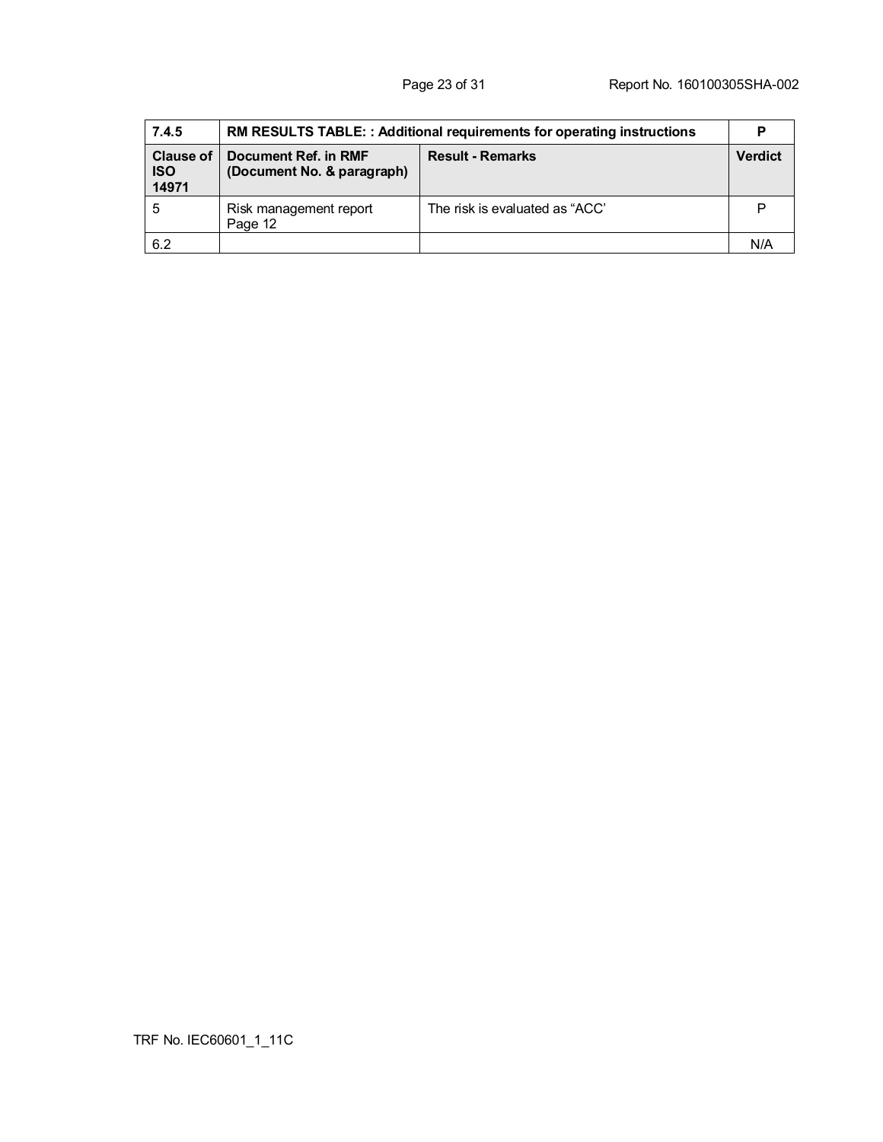| 7.4.5                                   | RM RESULTS TABLE: : Additional requirements for operating instructions |                                |                |
|-----------------------------------------|------------------------------------------------------------------------|--------------------------------|----------------|
| <b>Clause of</b><br><b>ISO</b><br>14971 | Document Ref. in RMF<br>(Document No. & paragraph)                     | <b>Result - Remarks</b>        | <b>Verdict</b> |
| 5                                       | Risk management report<br>Page 12                                      | The risk is evaluated as "ACC" |                |
| 6.2                                     |                                                                        |                                | N/f            |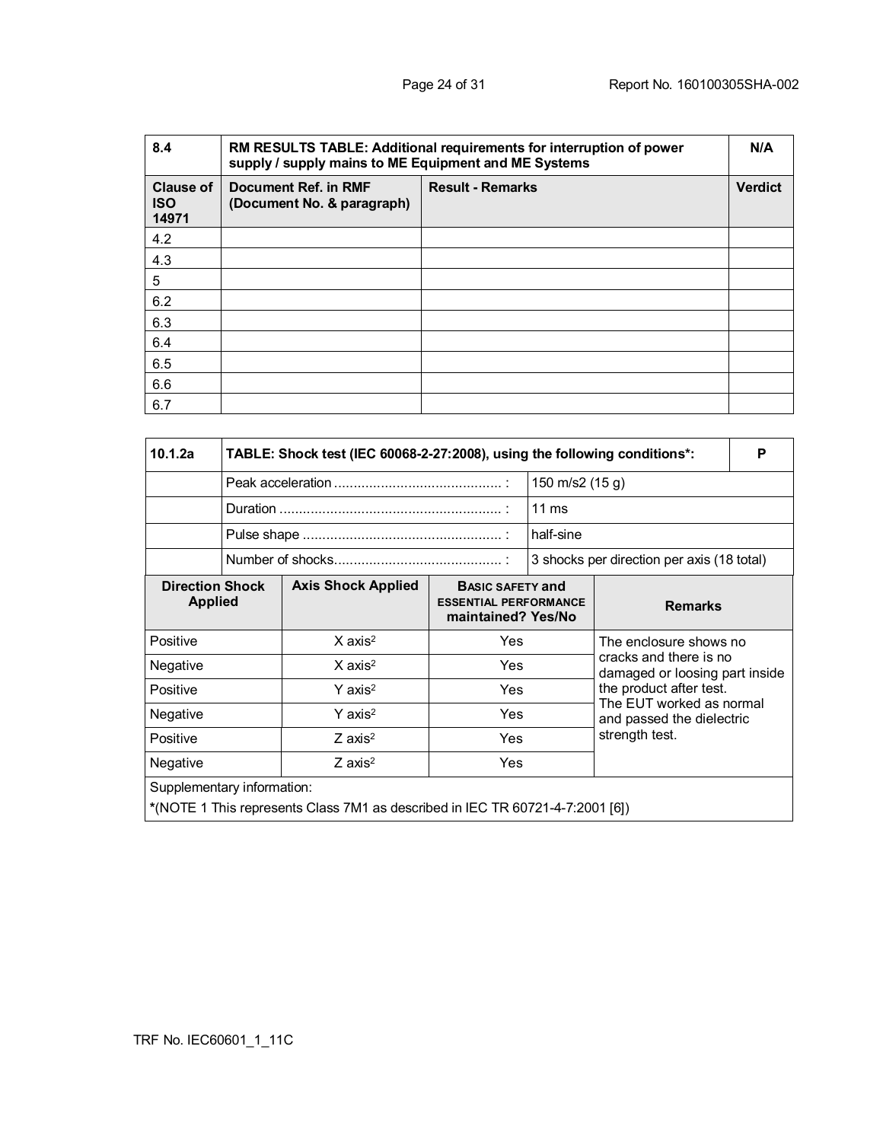| 8.4                                     | RM RESULTS TABLE: Additional requirements for interruption of power<br>supply / supply mains to ME Equipment and ME Systems |                         |                |
|-----------------------------------------|-----------------------------------------------------------------------------------------------------------------------------|-------------------------|----------------|
| <b>Clause of</b><br><b>ISO</b><br>14971 | Document Ref. in RMF<br>(Document No. & paragraph)                                                                          | <b>Result - Remarks</b> | <b>Verdict</b> |
| 4.2                                     |                                                                                                                             |                         |                |
| 4.3                                     |                                                                                                                             |                         |                |
| 5                                       |                                                                                                                             |                         |                |
| 6.2                                     |                                                                                                                             |                         |                |
| 6.3                                     |                                                                                                                             |                         |                |
| 6.4                                     |                                                                                                                             |                         |                |
| 6.5                                     |                                                                                                                             |                         |                |
| 6.6                                     |                                                                                                                             |                         |                |
| 6.7                                     |                                                                                                                             |                         |                |

| 10.1.2a                                                                | TABLE: Shock test (IEC 60068-2-27:2008), using the following conditions*: |                                                                               |                                                                               |                                            |                                                                         |  |  |
|------------------------------------------------------------------------|---------------------------------------------------------------------------|-------------------------------------------------------------------------------|-------------------------------------------------------------------------------|--------------------------------------------|-------------------------------------------------------------------------|--|--|
|                                                                        |                                                                           |                                                                               |                                                                               | 150 m/s2 (15 g)                            |                                                                         |  |  |
|                                                                        |                                                                           |                                                                               |                                                                               | $11 \text{ ms}$                            |                                                                         |  |  |
|                                                                        |                                                                           |                                                                               |                                                                               | half-sine                                  |                                                                         |  |  |
|                                                                        |                                                                           |                                                                               |                                                                               | 3 shocks per direction per axis (18 total) |                                                                         |  |  |
| <b>Direction Shock</b><br><b>Applied</b>                               |                                                                           | <b>Axis Shock Applied</b>                                                     | <b>BASIC SAFETY and</b><br><b>ESSENTIAL PERFORMANCE</b><br>maintained? Yes/No |                                            | <b>Remarks</b>                                                          |  |  |
| Positive                                                               |                                                                           | $X$ axis <sup>2</sup>                                                         | <b>Yes</b>                                                                    |                                            | The enclosure shows no                                                  |  |  |
| Negative                                                               |                                                                           | $X$ axis <sup>2</sup>                                                         | <b>Yes</b>                                                                    |                                            | cracks and there is no<br>damaged or loosing part inside                |  |  |
| Positive                                                               |                                                                           | $Y$ axis <sup>2</sup>                                                         | Yes                                                                           |                                            | the product after test.                                                 |  |  |
| $Y$ axis <sup>2</sup><br>Negative<br>Positive<br>$Z$ axis <sup>2</sup> |                                                                           |                                                                               | Yes<br>Yes                                                                    |                                            | The EUT worked as normal<br>and passed the dielectric<br>strength test. |  |  |
|                                                                        |                                                                           |                                                                               |                                                                               |                                            |                                                                         |  |  |
| $Z$ axis <sup>2</sup><br><b>Yes</b><br>Negative                        |                                                                           |                                                                               |                                                                               |                                            |                                                                         |  |  |
| Supplementary information:                                             |                                                                           | *(NOTE 1 This represents Class 7M1 as described in IEC TR 60721-4-7:2001 [6]) |                                                                               |                                            |                                                                         |  |  |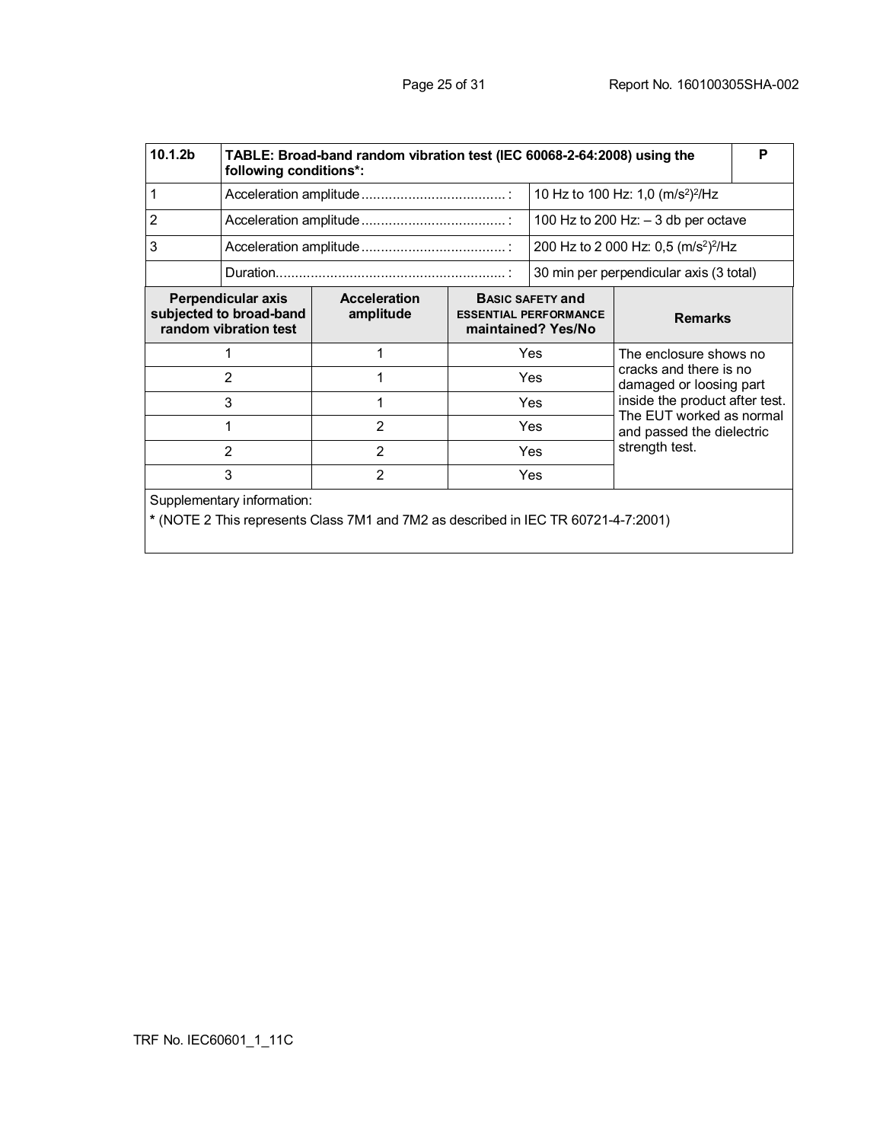| 10.1.2b                                                                | TABLE: Broad-band random vibration test (IEC 60068-2-64:2008) using the<br>following conditions*: |                                                                                    |                                                                               |                |                                                                                                               |  |  |
|------------------------------------------------------------------------|---------------------------------------------------------------------------------------------------|------------------------------------------------------------------------------------|-------------------------------------------------------------------------------|----------------|---------------------------------------------------------------------------------------------------------------|--|--|
| 1                                                                      |                                                                                                   |                                                                                    |                                                                               |                | 10 Hz to 100 Hz: 1,0 (m/s <sup>2</sup> ) <sup>2</sup> /Hz                                                     |  |  |
| 2                                                                      |                                                                                                   |                                                                                    |                                                                               |                | 100 Hz to 200 Hz: $-3$ db per octave                                                                          |  |  |
| 3                                                                      |                                                                                                   |                                                                                    |                                                                               |                | 200 Hz to 2 000 Hz: 0,5 (m/s <sup>2</sup> ) <sup>2</sup> /Hz                                                  |  |  |
|                                                                        |                                                                                                   |                                                                                    |                                                                               |                | 30 min per perpendicular axis (3 total)                                                                       |  |  |
| Perpendicular axis<br>subjected to broad-band<br>random vibration test |                                                                                                   | <b>Acceleration</b><br>amplitude                                                   | <b>BASIC SAFETY and</b><br><b>ESSENTIAL PERFORMANCE</b><br>maintained? Yes/No |                | <b>Remarks</b>                                                                                                |  |  |
|                                                                        |                                                                                                   |                                                                                    | Yes                                                                           |                | The enclosure shows no<br>cracks and there is no<br>damaged or loosing part<br>inside the product after test. |  |  |
|                                                                        | $\overline{2}$                                                                                    |                                                                                    | Yes                                                                           |                |                                                                                                               |  |  |
|                                                                        | 3                                                                                                 | 1                                                                                  | Yes                                                                           |                |                                                                                                               |  |  |
| 1                                                                      |                                                                                                   | $\overline{2}$                                                                     | Yes                                                                           |                | The EUT worked as normal<br>and passed the dielectric                                                         |  |  |
| $\overline{2}$<br>$\overline{2}$                                       |                                                                                                   | Yes                                                                                |                                                                               | strength test. |                                                                                                               |  |  |
| 3<br>$\overline{2}$                                                    |                                                                                                   |                                                                                    | Yes                                                                           |                |                                                                                                               |  |  |
|                                                                        | Supplementary information:                                                                        | * (NOTE 2 This represents Class 7M1 and 7M2 as described in IEC TR 60721-4-7:2001) |                                                                               |                |                                                                                                               |  |  |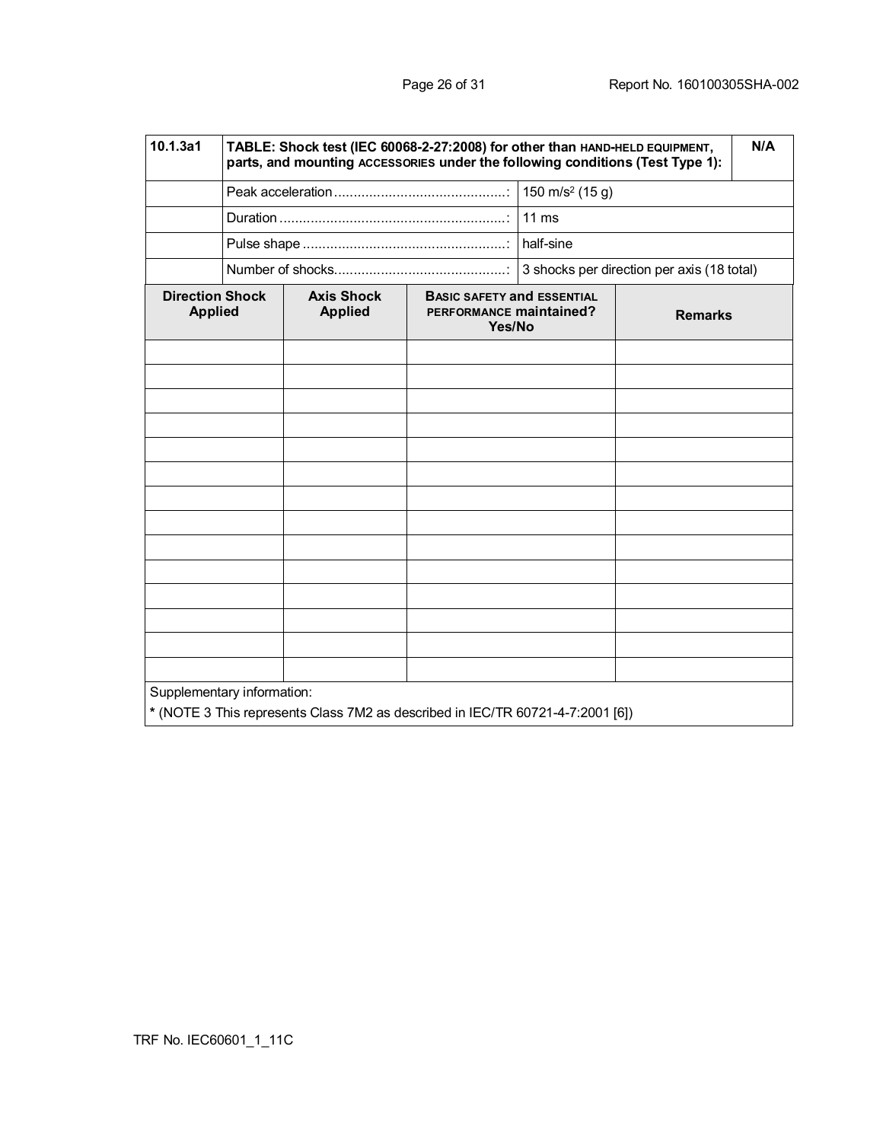| 10.1.3a1                                 | TABLE: Shock test (IEC 60068-2-27:2008) for other than HAND-HELD EQUIPMENT,<br>N/A<br>parts, and mounting ACCESSORIES under the following conditions (Test Type 1): |                                                                                |                                                                        |                 |                                            |  |  |
|------------------------------------------|---------------------------------------------------------------------------------------------------------------------------------------------------------------------|--------------------------------------------------------------------------------|------------------------------------------------------------------------|-----------------|--------------------------------------------|--|--|
|                                          |                                                                                                                                                                     |                                                                                |                                                                        |                 |                                            |  |  |
|                                          |                                                                                                                                                                     |                                                                                |                                                                        | $11 \text{ ms}$ |                                            |  |  |
|                                          |                                                                                                                                                                     |                                                                                |                                                                        |                 |                                            |  |  |
|                                          |                                                                                                                                                                     |                                                                                |                                                                        |                 | 3 shocks per direction per axis (18 total) |  |  |
| <b>Direction Shock</b><br><b>Applied</b> |                                                                                                                                                                     | <b>Axis Shock</b><br><b>Applied</b>                                            | <b>BASIC SAFETY and ESSENTIAL</b><br>PERFORMANCE maintained?<br>Yes/No |                 | <b>Remarks</b>                             |  |  |
|                                          |                                                                                                                                                                     |                                                                                |                                                                        |                 |                                            |  |  |
|                                          |                                                                                                                                                                     |                                                                                |                                                                        |                 |                                            |  |  |
|                                          |                                                                                                                                                                     |                                                                                |                                                                        |                 |                                            |  |  |
|                                          |                                                                                                                                                                     |                                                                                |                                                                        |                 |                                            |  |  |
|                                          |                                                                                                                                                                     |                                                                                |                                                                        |                 |                                            |  |  |
|                                          |                                                                                                                                                                     |                                                                                |                                                                        |                 |                                            |  |  |
|                                          |                                                                                                                                                                     |                                                                                |                                                                        |                 |                                            |  |  |
|                                          |                                                                                                                                                                     |                                                                                |                                                                        |                 |                                            |  |  |
|                                          |                                                                                                                                                                     |                                                                                |                                                                        |                 |                                            |  |  |
|                                          |                                                                                                                                                                     |                                                                                |                                                                        |                 |                                            |  |  |
|                                          |                                                                                                                                                                     |                                                                                |                                                                        |                 |                                            |  |  |
| Supplementary information:               |                                                                                                                                                                     | * (NOTE 3 This represents Class 7M2 as described in IEC/TR 60721-4-7:2001 [6]) |                                                                        |                 |                                            |  |  |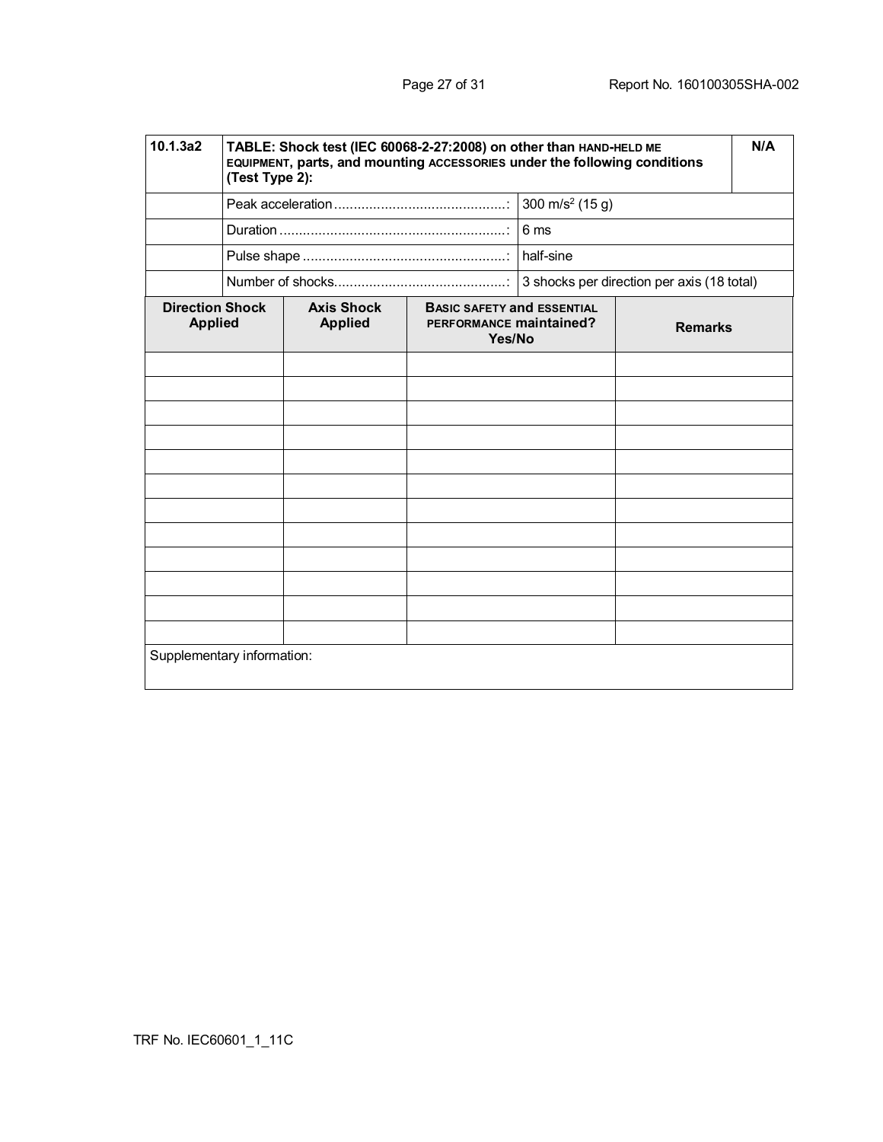| 10.1.3a2                                 | TABLE: Shock test (IEC 60068-2-27:2008) on other than HAND-HELD ME<br>EQUIPMENT, parts, and mounting ACCESSORIES under the following conditions<br>(Test Type 2): |                                     |                                                                        |      |                                            |  |
|------------------------------------------|-------------------------------------------------------------------------------------------------------------------------------------------------------------------|-------------------------------------|------------------------------------------------------------------------|------|--------------------------------------------|--|
|                                          |                                                                                                                                                                   |                                     | 300 m/s <sup>2</sup> (15 g)                                            |      |                                            |  |
|                                          |                                                                                                                                                                   |                                     |                                                                        | 6 ms |                                            |  |
|                                          |                                                                                                                                                                   |                                     |                                                                        |      |                                            |  |
|                                          |                                                                                                                                                                   |                                     |                                                                        |      | 3 shocks per direction per axis (18 total) |  |
| <b>Direction Shock</b><br><b>Applied</b> |                                                                                                                                                                   | <b>Axis Shock</b><br><b>Applied</b> | <b>BASIC SAFETY and ESSENTIAL</b><br>PERFORMANCE maintained?<br>Yes/No |      | <b>Remarks</b>                             |  |
|                                          |                                                                                                                                                                   |                                     |                                                                        |      |                                            |  |
|                                          |                                                                                                                                                                   |                                     |                                                                        |      |                                            |  |
|                                          |                                                                                                                                                                   |                                     |                                                                        |      |                                            |  |
|                                          |                                                                                                                                                                   |                                     |                                                                        |      |                                            |  |
|                                          |                                                                                                                                                                   |                                     |                                                                        |      |                                            |  |
|                                          |                                                                                                                                                                   |                                     |                                                                        |      |                                            |  |
|                                          |                                                                                                                                                                   |                                     |                                                                        |      |                                            |  |
|                                          |                                                                                                                                                                   |                                     |                                                                        |      |                                            |  |
|                                          |                                                                                                                                                                   |                                     |                                                                        |      |                                            |  |
|                                          |                                                                                                                                                                   |                                     |                                                                        |      |                                            |  |
|                                          |                                                                                                                                                                   |                                     |                                                                        |      |                                            |  |
| Supplementary information:               |                                                                                                                                                                   |                                     |                                                                        |      |                                            |  |
|                                          |                                                                                                                                                                   |                                     |                                                                        |      |                                            |  |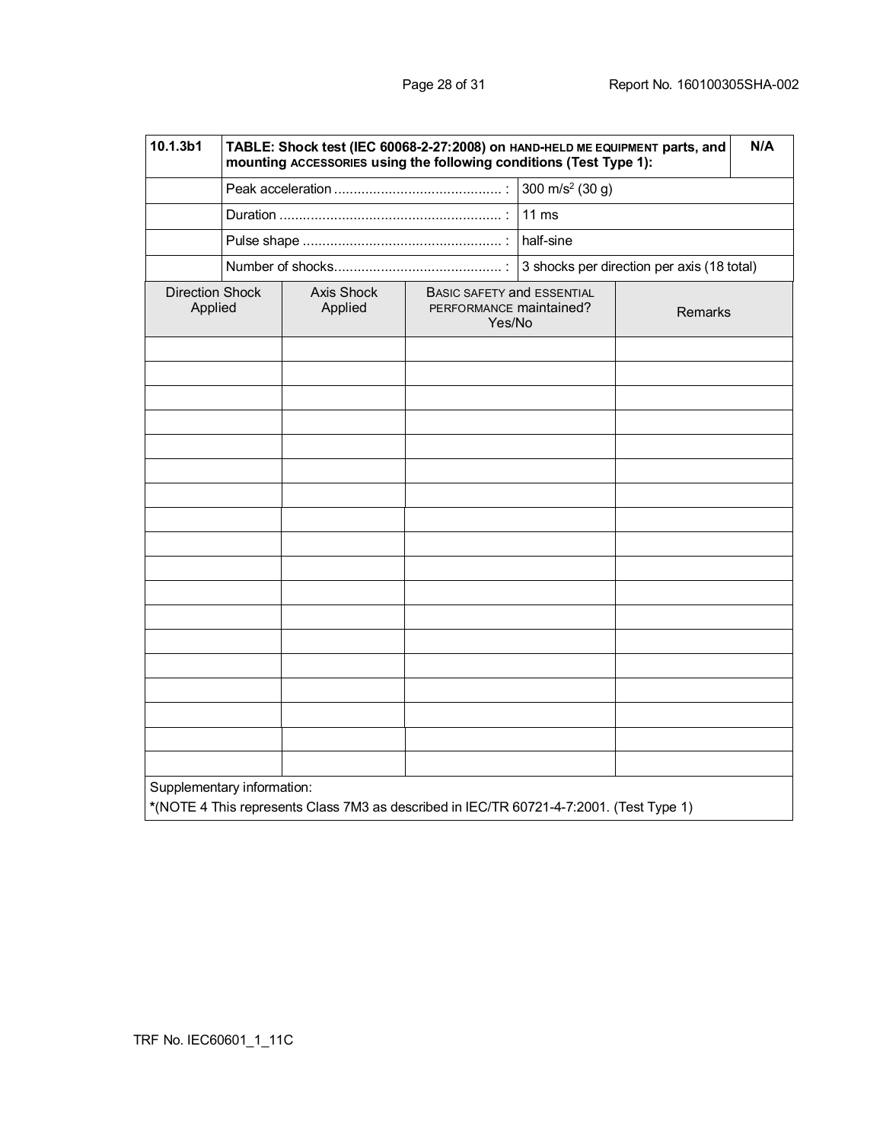| 10.1.3b1                          | TABLE: Shock test (IEC 60068-2-27:2008) on HAND-HELD ME EQUIPMENT parts, and<br>N/A<br>mounting ACCESSORIES using the following conditions (Test Type 1): |                       |                                                                 |                             |                                            |  |  |
|-----------------------------------|-----------------------------------------------------------------------------------------------------------------------------------------------------------|-----------------------|-----------------------------------------------------------------|-----------------------------|--------------------------------------------|--|--|
|                                   |                                                                                                                                                           |                       |                                                                 | 300 m/s <sup>2</sup> (30 g) |                                            |  |  |
|                                   |                                                                                                                                                           |                       |                                                                 | $11 \text{ ms}$             |                                            |  |  |
|                                   |                                                                                                                                                           |                       |                                                                 | half-sine                   |                                            |  |  |
|                                   |                                                                                                                                                           |                       |                                                                 |                             | 3 shocks per direction per axis (18 total) |  |  |
| <b>Direction Shock</b><br>Applied |                                                                                                                                                           | Axis Shock<br>Applied | BASIC SAFETY and ESSENTIAL<br>PERFORMANCE maintained?<br>Yes/No |                             | Remarks                                    |  |  |
|                                   |                                                                                                                                                           |                       |                                                                 |                             |                                            |  |  |
|                                   |                                                                                                                                                           |                       |                                                                 |                             |                                            |  |  |
|                                   |                                                                                                                                                           |                       |                                                                 |                             |                                            |  |  |
|                                   |                                                                                                                                                           |                       |                                                                 |                             |                                            |  |  |
|                                   |                                                                                                                                                           |                       |                                                                 |                             |                                            |  |  |
|                                   |                                                                                                                                                           |                       |                                                                 |                             |                                            |  |  |
|                                   |                                                                                                                                                           |                       |                                                                 |                             |                                            |  |  |
|                                   |                                                                                                                                                           |                       |                                                                 |                             |                                            |  |  |
|                                   |                                                                                                                                                           |                       |                                                                 |                             |                                            |  |  |
|                                   |                                                                                                                                                           |                       |                                                                 |                             |                                            |  |  |
|                                   |                                                                                                                                                           |                       |                                                                 |                             |                                            |  |  |
|                                   |                                                                                                                                                           |                       |                                                                 |                             |                                            |  |  |
|                                   |                                                                                                                                                           |                       |                                                                 |                             |                                            |  |  |
|                                   |                                                                                                                                                           |                       |                                                                 |                             |                                            |  |  |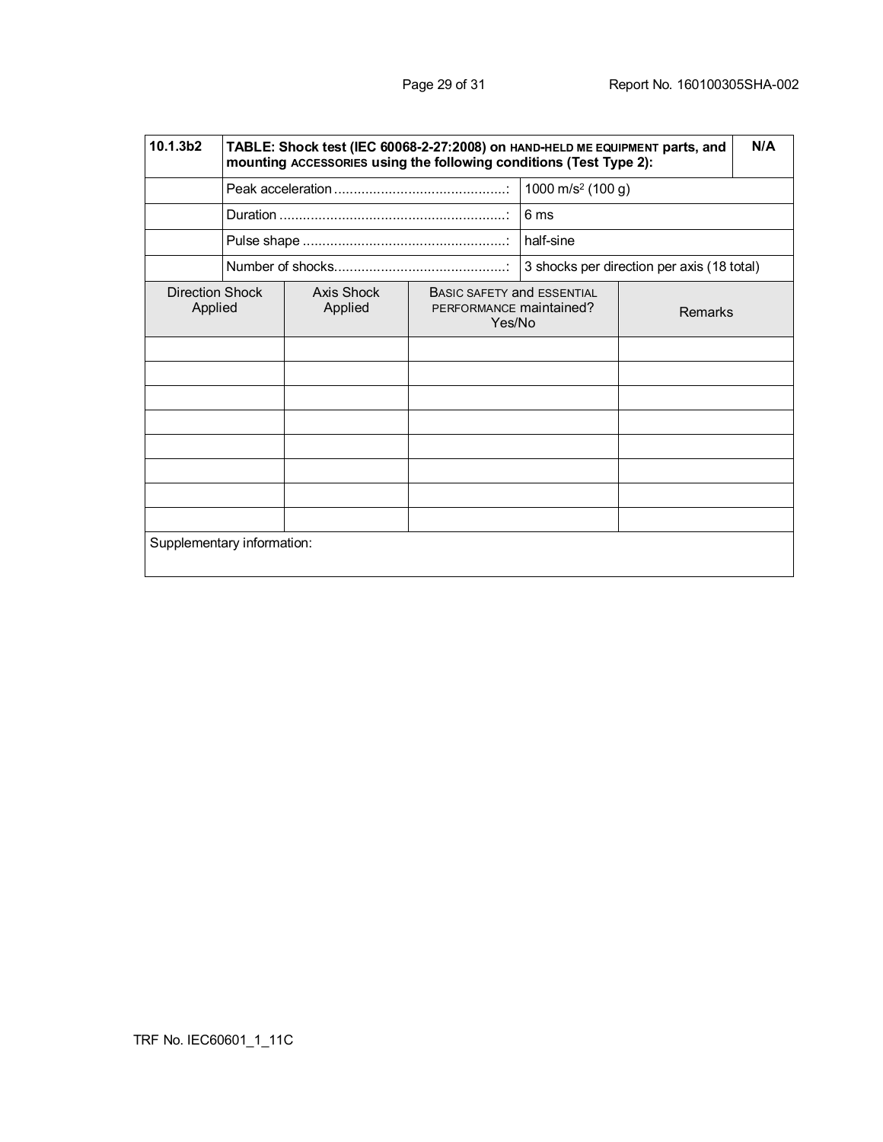| 10.1.3b2                          | N/A<br>TABLE: Shock test (IEC 60068-2-27:2008) on HAND-HELD ME EQUIPMENT parts, and<br>mounting ACCESSORIES using the following conditions (Test Type 2): |                       |                                                                 |                               |                                            |  |  |
|-----------------------------------|-----------------------------------------------------------------------------------------------------------------------------------------------------------|-----------------------|-----------------------------------------------------------------|-------------------------------|--------------------------------------------|--|--|
|                                   |                                                                                                                                                           |                       |                                                                 | 1000 m/s <sup>2</sup> (100 g) |                                            |  |  |
|                                   |                                                                                                                                                           |                       |                                                                 | 6 ms                          |                                            |  |  |
|                                   |                                                                                                                                                           |                       |                                                                 | half-sine                     |                                            |  |  |
|                                   |                                                                                                                                                           |                       |                                                                 |                               | 3 shocks per direction per axis (18 total) |  |  |
| <b>Direction Shock</b><br>Applied |                                                                                                                                                           | Axis Shock<br>Applied | BASIC SAFETY and ESSENTIAL<br>PERFORMANCE maintained?<br>Yes/No |                               | <b>Remarks</b>                             |  |  |
|                                   |                                                                                                                                                           |                       |                                                                 |                               |                                            |  |  |
|                                   |                                                                                                                                                           |                       |                                                                 |                               |                                            |  |  |
|                                   |                                                                                                                                                           |                       |                                                                 |                               |                                            |  |  |
|                                   |                                                                                                                                                           |                       |                                                                 |                               |                                            |  |  |
|                                   |                                                                                                                                                           |                       |                                                                 |                               |                                            |  |  |
|                                   |                                                                                                                                                           |                       |                                                                 |                               |                                            |  |  |
|                                   |                                                                                                                                                           |                       |                                                                 |                               |                                            |  |  |
|                                   |                                                                                                                                                           |                       |                                                                 |                               |                                            |  |  |
|                                   | Supplementary information:                                                                                                                                |                       |                                                                 |                               |                                            |  |  |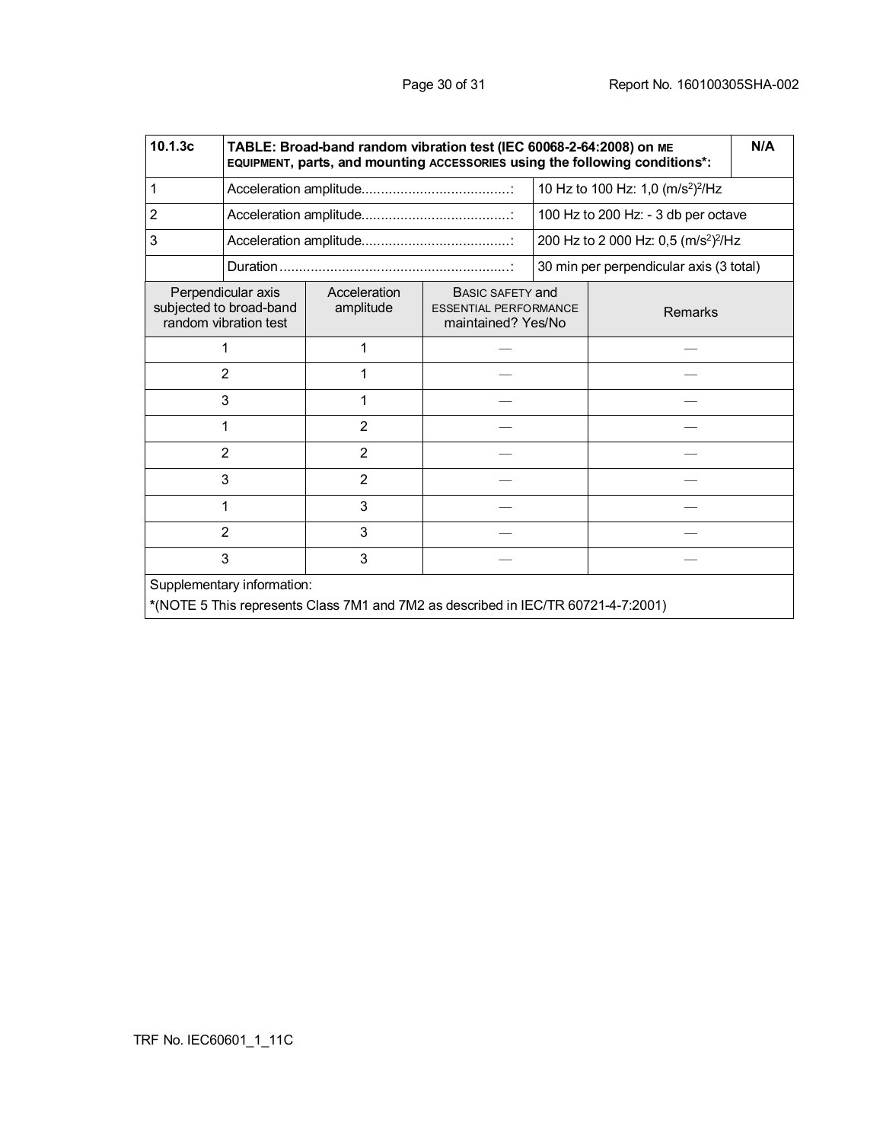| 10.1.3c                                                                                                         | TABLE: Broad-band random vibration test (IEC 60068-2-64:2008) on ME<br>N/A<br>EQUIPMENT, parts, and mounting ACCESSORIES using the following conditions*: |                           |                                                                               |  |                                                              |  |
|-----------------------------------------------------------------------------------------------------------------|-----------------------------------------------------------------------------------------------------------------------------------------------------------|---------------------------|-------------------------------------------------------------------------------|--|--------------------------------------------------------------|--|
| 1                                                                                                               |                                                                                                                                                           |                           |                                                                               |  | 10 Hz to 100 Hz: 1,0 (m/s <sup>2</sup> ) <sup>2</sup> /Hz    |  |
| $\overline{2}$                                                                                                  |                                                                                                                                                           |                           |                                                                               |  | 100 Hz to 200 Hz: - 3 db per octave                          |  |
| 3                                                                                                               |                                                                                                                                                           |                           |                                                                               |  | 200 Hz to 2 000 Hz: 0,5 (m/s <sup>2</sup> ) <sup>2</sup> /Hz |  |
|                                                                                                                 |                                                                                                                                                           |                           |                                                                               |  | 30 min per perpendicular axis (3 total)                      |  |
|                                                                                                                 | Perpendicular axis<br>subjected to broad-band<br>random vibration test                                                                                    | Acceleration<br>amplitude | <b>BASIC SAFETY and</b><br><b>ESSENTIAL PERFORMANCE</b><br>maintained? Yes/No |  | <b>Remarks</b>                                               |  |
|                                                                                                                 | 1                                                                                                                                                         | 1                         |                                                                               |  |                                                              |  |
|                                                                                                                 | $\overline{2}$                                                                                                                                            | 1                         |                                                                               |  |                                                              |  |
|                                                                                                                 | 3                                                                                                                                                         | 1                         |                                                                               |  |                                                              |  |
|                                                                                                                 | 1                                                                                                                                                         | $\overline{2}$            |                                                                               |  |                                                              |  |
|                                                                                                                 | $\overline{2}$                                                                                                                                            | $\overline{2}$            |                                                                               |  |                                                              |  |
|                                                                                                                 | 3                                                                                                                                                         | $\overline{2}$            |                                                                               |  |                                                              |  |
|                                                                                                                 | 1                                                                                                                                                         | 3                         |                                                                               |  |                                                              |  |
| 2                                                                                                               |                                                                                                                                                           | 3                         |                                                                               |  |                                                              |  |
| 3<br>3                                                                                                          |                                                                                                                                                           |                           |                                                                               |  |                                                              |  |
| Supplementary information:<br>*(NOTE 5 This represents Class 7M1 and 7M2 as described in IEC/TR 60721-4-7:2001) |                                                                                                                                                           |                           |                                                                               |  |                                                              |  |